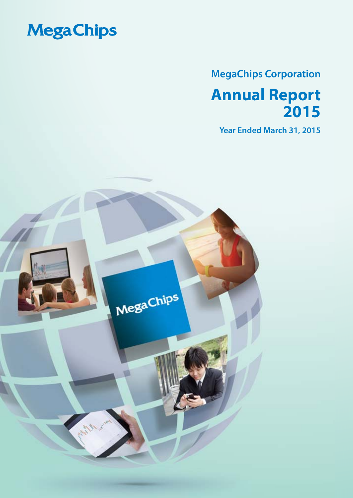

**MegaChips Corporation**

# **Annual Report 2015**

**Year Ended March 31, 2015**

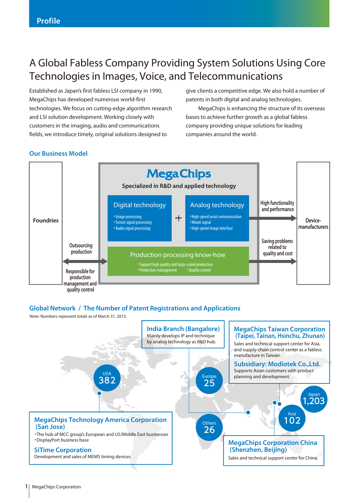## A Global Fabless Company Providing System Solutions Using Core Technologies in Images, Voice, and Telecommunications

Established as Japan's first fabless LSI company in 1990, MegaChips has developed numerous world-first technologies. We focus on cutting-edge algorithm research and LSI solution development. Working closely with customers in the imaging, audio and communications fields, we introduce timely, original solutions designed to

give clients a competitive edge. We also hold a number of patents in both digital and analog technologies.

MegaChips is enhancing the structure of its overseas bases to achieve further growth as a global fabless company providing unique solutions for leading companies around the world.



### **Our Business Model**

### **Global Network / The Number of Patent Registrations and Applications**

Note: Numbers represent totals as of March 31, 2015.

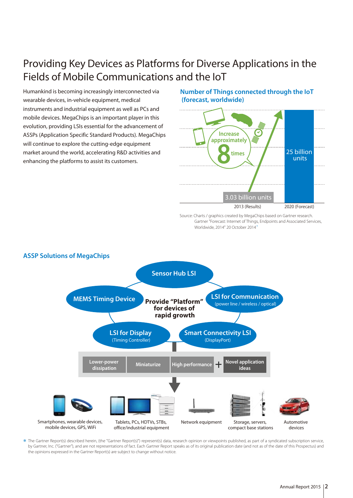## Providing Key Devices as Platforms for Diverse Applications in the Fields of Mobile Communications and the IoT

Humankind is becoming increasingly interconnected via wearable devices, in-vehicle equipment, medical instruments and industrial equipment as well as PCs and mobile devices. MegaChips is an important player in this evolution, providing LSIs essential for the advancement of ASSPs (Application Specific Standard Products). MegaChips will continue to explore the cutting-edge equipment market around the world, accelerating R&D activities and enhancing the platforms to assist its customers.

### **Number of Things connected through the IoT (forecast, worldwide)**



Source: Charts / graphics created by MegaChips based on Gartner research. Gartner "Forecast: Internet of Things, Endpoints and Associated Services, Worldwide, 2014" 20 October 2014\*



\* The Gartner Report(s) described herein, (the "Gartner Report(s)") represent(s) data, research opinion or viewpoints published, as part of a syndicated subscription service, by Gartner, Inc. ("Gartner"), and are not representations of fact. Each Gartner Report speaks as of its original publication date (and not as of the date of this Prospectus) and the opinions expressed in the Gartner Report(s) are subject to change without notice.

Annual Report 2015 2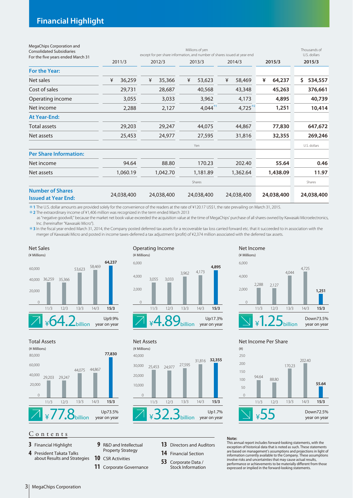| MegaChips Corporation and<br><b>Consolidated Subsidiaries</b><br>For the five years ended March 31 | Millions of yen<br>except for per share information, and number of shares issued at year end |            |        |            |   |                       |   |            |        |            | Thousands of<br>U.S. dollars |
|----------------------------------------------------------------------------------------------------|----------------------------------------------------------------------------------------------|------------|--------|------------|---|-----------------------|---|------------|--------|------------|------------------------------|
|                                                                                                    | 2011/3                                                                                       |            | 2012/3 |            |   | 2013/3                |   | 2014/3     | 2015/3 |            | 2015/3                       |
| <b>For the Year:</b>                                                                               |                                                                                              |            |        |            |   |                       |   |            |        |            |                              |
| Net sales                                                                                          | ¥                                                                                            | 36,259     | ¥      | 35,366     | ¥ | 53,623                | ¥ | 58,469     | ¥      | 64,237     | \$<br>534,557                |
| Cost of sales                                                                                      |                                                                                              | 29,731     |        | 28,687     |   | 40,568                |   | 43,348     |        | 45,263     | 376,661                      |
| Operating income                                                                                   |                                                                                              | 3,055      |        | 3,033      |   | 3,962                 |   | 4,173      |        | 4,895      | 40,739                       |
| Net income                                                                                         |                                                                                              | 2,288      |        | 2,127      |   | $4,044$ <sup>*1</sup> |   | $4,725**2$ |        | 1,251      | 10,414                       |
| <b>At Year-End:</b>                                                                                |                                                                                              |            |        |            |   |                       |   |            |        |            |                              |
| Total assets                                                                                       |                                                                                              | 29,203     |        | 29,247     |   | 44,075                |   | 44,867     |        | 77,830     | 647,672                      |
| Net assets                                                                                         |                                                                                              | 25,453     |        | 24,977     |   | 27,595                |   | 31,816     |        | 32,355     | 269,246                      |
|                                                                                                    |                                                                                              |            |        |            |   | Yen                   |   |            |        |            | U.S. dollars                 |
| <b>Per Share Information:</b>                                                                      |                                                                                              |            |        |            |   |                       |   |            |        |            |                              |
| Net income                                                                                         |                                                                                              | 94.64      |        | 88.80      |   | 170.23                |   | 202.40     |        | 55.64      | 0.46                         |
| Net assets                                                                                         |                                                                                              | 1,060.19   |        | 1,042.70   |   | 1,181.89              |   | 1,362.64   |        | 1,438.09   | 11.97                        |
|                                                                                                    |                                                                                              |            |        |            |   | Shares                |   |            |        |            | Shares                       |
| <b>Number of Shares</b><br><b>Issued at Year End:</b>                                              |                                                                                              | 24,038,400 |        | 24,038,400 |   | 24,038,400            |   | 24,038,400 |        | 24,038,400 | 24,038,400                   |

\***1** The U.S. dollar amounts are provided solely for the convenience of the readers at the rate of ¥120.17 US\$1, the rate prevailing on March 31, 2015.

\***2** The extraordinary income of ¥1,406 million was recognized in the term ended March 2013

 as "negative goodwill," because the market net book value exceeded the acquisition value at the time of MegaChips' purchase of all shares owned by Kawasaki Microelectronics, Inc. (hereinafter "Kawasaki Micro").

\***3** In the fiscal year ended March 31, 2014, the Company posted deferred tax assets for a recoverable tax loss carried forward etc. that it succeeded to in association with the merger of Kawasaki Micro and posted in income taxes-deferred a tax adjustment (profit) of ¥2,374 million associated with the deferred tax assets.



#### Total Assets (¥ Millions)



### Operating Income



### Net Assets (¥ Millions)



### Net Income



#### Net Income Per Share



#### Contents

- Financial Highlight **3**
- President Takata Talks **4** about Results and Strategies
- R&D and Intellectual Property Strategy
- **10** CSR Activities
- **11** Corporate Governance

**9**

- 13 Directors and Auditors
- 14 Financial Section
- **53** Corporate Data / Stock Information

#### **Note:**

This annual report includes forward-looking statements, with the exception of historical data that is noted as such. These statements are based on management's assumptions and projections in light of information currently available to the Company. These assumptions involve risks and uncertainties that may cause actual results, performance or achievements to be materially different from those expressed or implied in the forward-looking statements.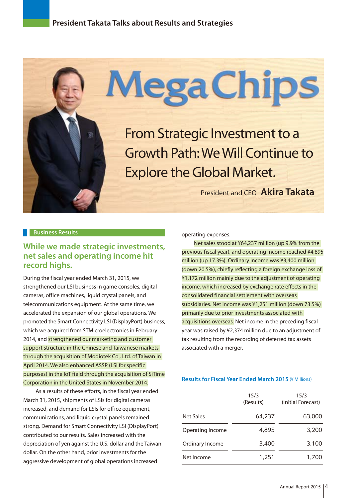

### **Business Results**

### **While we made strategic investments, net sales and operating income hit record highs.**

During the fiscal year ended March 31, 2015, we strengthened our LSI business in game consoles, digital cameras, office machines, liquid crystal panels, and telecommunications equipment. At the same time, we accelerated the expansion of our global operations. We promoted the Smart Connectivity LSI (DisplayPort) business, which we acquired from STMicroelectronics in February 2014, and strengthened our marketing and customer support structure in the Chinese and Taiwanese markets through the acquisition of Modiotek Co., Ltd. of Taiwan in April 2014. We also enhanced ASSP (LSI for specific purposes) in the IoT field through the acquisition of SiTime Corporation in the United States in November 2014.

As a results of these efforts, in the fiscal year ended March 31, 2015, shipments of LSIs for digital cameras increased, and demand for LSIs for office equipment, communications, and liquid crystal panels remained strong. Demand for Smart Connectivity LSI (DisplayPort) contributed to our results. Sales increased with the depreciation of yen against the U.S. dollar and the Taiwan dollar. On the other hand, prior investments for the aggressive development of global operations increased

operating expenses.

Net sales stood at ¥64,237 million (up 9.9% from the previous fiscal year), and operating income reached ¥4,895 million (up 17.3%). Ordinary income was ¥3,400 million (down 20.5%), chiefly reflecting a foreign exchange loss of ¥1,172 million mainly due to the adjustment of operating income, which increased by exchange rate effects in the consolidated financial settlement with overseas subsidiaries. Net income was ¥1,251 million (down 73.5%) primarily due to prior investments associated with acquisitions overseas. Net income in the preceding fiscal year was raised by ¥2,374 million due to an adjustment of tax resulting from the recording of deferred tax assets associated with a merger.

### **Results for Fiscal Year Ended March 2015** (¥ Millions)

|                  | 15/3<br>(Results) | 15/3<br>(Initial Forecast) |
|------------------|-------------------|----------------------------|
| <b>Net Sales</b> | 64.237            | 63,000                     |
| Operating Income | 4.895             | 3.200                      |
| Ordinary Income  | 3.400             | 3,100                      |
| Net Income       | 1.251             | 1.700                      |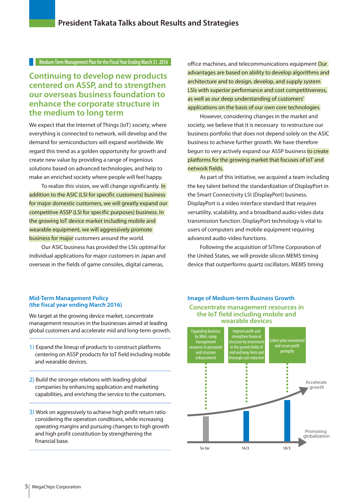**Medium-Term Management Plan for the Fiscal Year Ending March 31, 2016** 

**Continuing to develop new products centered on ASSP, and to strengthen our overseas business foundation to enhance the corporate structure in the medium to long term**

We expect that the Internet of Things (IoT) society, where everything is connected to network, will develop and the demand for semiconductors will expand worldwide. We regard this trend as a golden opportunity for growth and create new value by providing a range of ingenious solutions based on advanced technologies, and help to make an enriched society where people will feel happy.

To realize this vision, we will change significantly. In addition to the ASIC (LSI for specific customers) business for major domestic customers, we will greatly expand our competitive ASSP (LSI for specific purposes) business. In the growing IoT device market including mobile and wearable equipment, we will aggressively promote business for major customers around the world.

Our ASIC business has provided the LSIs optimal for individual applications for major customers in Japan and overseas in the fields of game consoles, digital cameras,

office machines, and telecommunications equipment Our advantages are based on ability to develop algorithms and architecture and to design, develop, and supply system LSIs with superior performance and cost competitiveness, as well as our deep understanding of customers' applications on the basis of our own core technologies.

However, considering changes in the market and society, we believe that it is necessary to restructure our business portfolio that does not depend solely on the ASIC business to achieve further growth. We have therefore begun to very actively expand our ASSP business to create platforms for the growing market that focuses of IoT and network fields.

As part of this initiative, we acquired a team including the key talent behind the standardization of DisplayPort in the Smart Connectivity LSI (DisplayPort) business. DisplayPort is a video interface standard that requires versatility, scalability, and a broadband audio-video data transmission function. DisplayPort technology is vital to users of computers and mobile equipment requiring advanced audio-video functions.

Following the acquisition of SiTime Corporation of the United States, we will provide silicon MEMS timing device that outperforms quartz oscillators. MEMS timing

#### **Mid-Term Management Policy (the fiscal year ending March 2016)**

We target at the growing device market, concentrate management resources in the businesses aimed at leading global customers and accelerate mid and long-term growth.

- 1) Expand the lineup of products to construct platforms centering on ASSP products for IoT field including mobile and wearable devices.
- 2) Build the stronger relations with leading global companies by enhancing application and marketing capabilities, and enriching the service to the customers.
- 3) Work on aggressively to achieve high profit return ratio considering the operation conditions, while increasing operating margins and pursuing changes to high growth and high profit constitution by strengthening the financial base.

### **Image of Medium-term Business Growth Concentrate management resources in the IoT field including mobile and wearable devices**

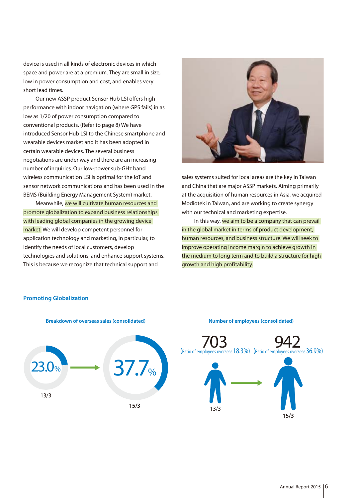device is used in all kinds of electronic devices in which space and power are at a premium. They are small in size, low in power consumption and cost, and enables very short lead times.

Our new ASSP product Sensor Hub LSI offers high performance with indoor navigation (where GPS fails) in as low as 1/20 of power consumption compared to conventional products. (Refer to page 8) We have introduced Sensor Hub LSI to the Chinese smartphone and wearable devices market and it has been adopted in certain wearable devices. The several business negotiations are under way and there are an increasing number of inquiries. Our low-power sub-GHz band wireless communication LSI is optimal for the IoT and sensor network communications and has been used in the BEMS (Building Energy Management System) market.

Meanwhile, we will cultivate human resources and promote globalization to expand business relationships with leading global companies in the growing device market. We will develop competent personnel for application technology and marketing, in particular, to identify the needs of local customers, develop technologies and solutions, and enhance support systems. This is because we recognize that technical support and



sales systems suited for local areas are the key in Taiwan and China that are major ASSP markets. Aiming primarily at the acquisition of human resources in Asia, we acquired Modiotek in Taiwan, and are working to create synergy with our technical and marketing expertise.

In this way, we aim to be a company that can prevail in the global market in terms of product development, human resources, and business structure. We will seek to improve operating income margin to achieve growth in the medium to long term and to build a structure for high growth and high profitability.

### **Promoting Globalization**



**Breakdown of overseas sales (consolidated) Number of employees (consolidated)** 

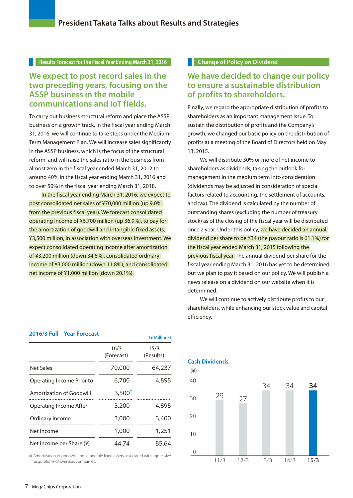**Results Forecast for the Fiscal Year Ending March 31, 2016 Change of Policy on Dividend**

### **We expect to post record sales in the two preceding years, focusing on the ASSP business in the mobile communications and IoT fields.**

To carry out business structural reform and place the ASSP business on a growth track, in the fiscal year ending March 31, 2016, we will continue to take steps under the Medium-Term Management Plan. We will increase sales significantly in the ASSP business, which is the focus of the structural reform, and will raise the sales ratio in the business from almost zero in the fiscal year ended March 31, 2012 to around 40% in the fiscal year ending March 31, 2016 and to over 50% in the fiscal year ending March 31, 2018.

In the fiscal year ending March 31, 2016, we expect to post consolidated net sales of ¥70,000 million (up 9.0% from the previous fiscal year). We forecast consolidated operating income of ¥6,700 million (up 36.9%), to pay for the amortization of goodwill and intangible fixed assets, ¥3,500 million, in association with overseas investment. We expect consolidated operating income after amortization of ¥3,200 million (down 34.6%), consolidated ordinary income of ¥3,000 million (down 11.8%), and consolidated net income of ¥1,000 million (down 20.1%). net income of ¥1,000 million (down 20.1%).

### **We have decided to change our policy to ensure a sustainable distribution of profits to shareholders.**

Finally, we regard the appropriate distribution of profits to sustain the distribution of profits and the Company's growth, we changed our basic policy on the distribution of profits at a meeting of the Board of Directors held on May profits at a meeting of the Board of  $\frac{1}{2}$ 

We will distribute 30% or more of net income to shareholders as dividends, taking the outlook for management in the medium term into consideration (dividends may be adjusted in consideration of special factors related to accounting, the settlement of accounts, and tax). The dividend is calculated by the number of outstanding shares (excluding the number of treasury stock) as of the closing of the fiscal year will be distributed once a year. Under this policy, we have decided an annual dividend per share to be ¥34 (the payout ratio is 61.1%) for the fiscal year ended March 31, 2015 following the previous fiscal year. The annual dividend per share for the fiscal year ending March 31, 2016 has yet to be determined but we plan to pay it based on our policy. We will publish a news release on a dividend on our website when it is news release on a dividend on a dividend on our website when it is in the control of the control of the control of the control of the control of the control of the control of the control of the control of the control of th

We will continue to actively distribute profits to our shareholders, while enhancing our stock value and capital  $\frac{1}{\sqrt{2}}$ efficiency.

|                           |                    | (* MIIIIONS)      |
|---------------------------|--------------------|-------------------|
|                           | 16/3<br>(Forecast) | 15/3<br>(Results) |
| <b>Net Sales</b>          | 70,000             | 64.237            |
| Operating Income Prior to | 6,700              | 4.895             |
| Amortization of Goodwill  | $3.500*$           |                   |
| Operating Income After    | 3.200              | 4.895             |
| Ordinary Income           | 3.000              | 3.400             |
| Net Income                | 1.000              | 1.251             |
| Net Income per Share (¥)  | 44.74              | 55.64             |
|                           |                    |                   |

\* Amortization of goodwill and intangible fixed assets associated with aggressive  $\frac{11}{3}$   $\frac{12}{3}$   $\frac{13}{3}$   $\frac{14}{3}$   $\frac{15}{3}$ acquisitions of overseas companies.

#### **Cash Dividends**



**2016/3 Full – Year Forecast**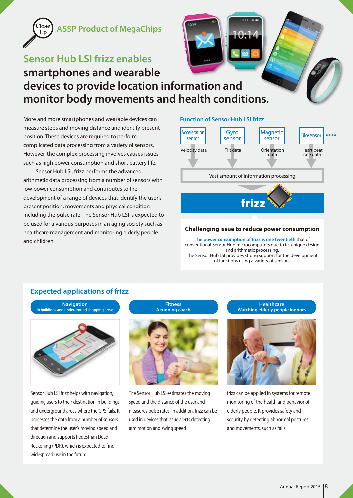**ASSP Product of MegaChips Up**

# **Sensor Hub LSI frizz enables smartphones and wearable devices to provide location information and monitor body movements and health conditions.**

More and more smartphones and wearable devices can<br>measure steps and moving distance and identify present position. These devices are required to perform complicated data processing from a variety of sensors. However, the complex processing involves causes issues such as high power consumption and short battery life.

Sensor Hub LSI, frizz performs the advanced arithmetic data processing from a number of sensors with low power consumption and contributes to the development of a range of devices that identify the user's present position, movements and physical condition including the pulse rate. The Sensor Hub LSI is expected to be used for a various purposes in an aging society such as be used for a various purposes in an aging society such as healthcare management and monitoring elderly people

### **Function of Sensor Hub LSI frizz**



#### **Challenging issue to reduce power consumption**

**The power consumption of frizz is one twentieth** that of conventional Sensor Hub microcomputers due to its unique design and arithmetic processing. The Sensor Hub LSI provides strong support for the development of functions using a variety of sensors.

### **Expected applications of frizz**



Sensor Hub LSI frizz helps with navigation,<br>guiding users to their destination in buildings and underground areas where the GPS fails. It processes the data from a number of sensors that determine the user's moving speed and direction and supports Pedestrian Dead Reckoning (PDR), which is expected to find Reckoning (PDR), which is expected to find widespread use in the future.

**Fitness A running coach**



The Sensor Hub LSI estimates the moving<br>speed and the distance of the user and speed and the distance of the user and measures pulse rates. In addition, frizz can be used in devices that issue alerts detecting<br>arm motion and swing speed arm motion and swing speed

#### **Healthcare Watching elderly people indoors**



frizz can be applied in systems for remote<br>monitoring of the health and behavior of elderly people. It provides safety and security by detecting abnormal postures and movements, such as falls. and movements, such as falls.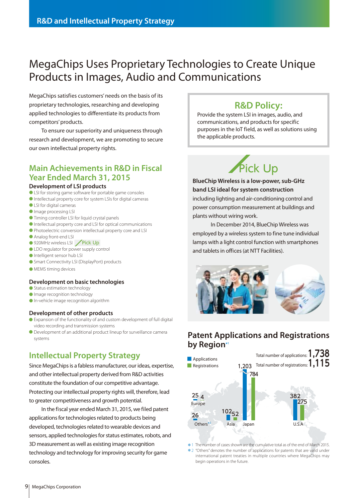## MegaChips Uses Proprietary Technologies to Create Unique Products in Images, Audio and Communications

MegaChips satisfies customers' needs on the basis of its proprietary technologies, researching and developing applied technologies to differentiate its products from competitors' products.

To ensure our superiority and uniqueness through research and development, we are promoting to secure our own intellectual property rights.

### **Main Achievements in R&D in Fiscal Year Ended March 31, 2015**

#### **Development of LSI products**

- LSI for storing game software for portable game consoles
- Intellectual property core for system LSIs for digital cameras
- LSI for digital cameras
- Image processing LSI
- Timing controller LSI for liquid crystal panels
- Intellectual property core and LSI for optical communications
- Photoelectric conversion intellectual property core and LSI
- Analog front-end LSI
- 920MHz wireless LSI / Pick Up
- LDO regulator for power supply control
- Intelligent sensor hub LSI
- Smart Connectivity LSI (DisplayPort) products
- MEMS timing devices

#### **Development on basic technologies**

- Status estimation technology
- Image recognition technology
- In-vehicle image recognition algorithm

#### **Development of other products**

- Expansion of the functionality of and custom development of full digital video recording and transmission systems
- Development of an additional product lineup for surveillance camera systems

### **Intellectual Property Strategy**

Since MegaChips is a fabless manufacturer, our ideas, expertise, and other intellectual property derived from R&D activities constitute the foundation of our competitive advantage. Protecting our intellectual property rights will, therefore, lead to greater competitiveness and growth potential.

In the fiscal year ended March 31, 2015, we filed patent applications for technologies related to products being developed, technologies related to wearable devices and sensors, applied technologies for status estimates, robots, and 3D measurement as well as existing image recognition technology and technology for improving security for game consoles.

### **R&D Policy:**

Provide the system LSI in images, audio, and communications, and products for specific purposes in the IoT field, as well as solutions using the applicable products.



### **BlueChip Wireless is a low-power, sub-GHz band LSI ideal for system construction**

including lighting and air-conditioning control and power consumption measurement at buildings and plants without wiring work.

In December 2014, BlueChip Wireless was employed by a wireless system to fine tune individual lamps with a light control function with smartphones and tablets in offices (at NTT Facilities).

### **Patent Applications and Registrations by Region**\*1



\*1 The number of cases shown are the cumulative total as of the end of March 2015. \*2 "Others" denotes the number of applications for patents that are valid under international patent treaties in multiple countries where MegaChips may begin operations in the future.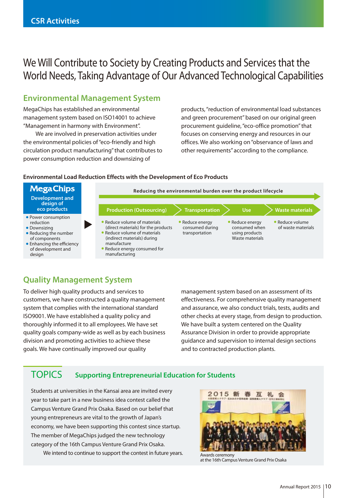## We Will Contribute to Society by Creating Products and Services that the World Needs, Taking Advantage of Our Advanced Technological Capabilities

### **Environmental Management System**

MegaChips has established an environmental management system based on ISO14001 to achieve "Management in harmony with Environment".

We are involved in preservation activities under the environmental policies of "eco-friendly and high circulation product manufacturing" that contributes to power consumption reduction and downsizing of

products, "reduction of environmental load substances and green procurement" based on our original green procurement guideline, "eco-office promotion" that focuses on conserving energy and resources in our offices. We also working on "observance of laws and other requirements" according to the compliance.

### **Environmental Load Reduction Effects with the Development of Eco Products**



### **Quality Management System**

To deliver high quality products and services to customers, we have constructed a quality management system that complies with the international standard ISO9001. We have established a quality policy and thoroughly informed it to all employees. We have set quality goals company-wide as well as by each business division and promoting activities to achieve these goals. We have continually improved our quality

management system based on an assessment of its effectiveness. For comprehensive quality management and assurance, we also conduct trials, tests, audits and other checks at every stage, from design to production. We have built a system centered on the Quality Assurance Division in order to provide appropriate guidance and supervision to internal design sections and to contracted production plants.

### TOPICS **Supporting Entrepreneurial Education for Students**

Students at universities in the Kansai area are invited every year to take part in a new business idea contest called the Campus Venture Grand Prix Osaka. Based on our belief that young entrepreneurs are vital to the growth of Japan's economy, we have been supporting this contest since startup. The member of MegaChips judged the new technology category of the 16th Campus Venture Grand Prix Osaka.

We intend to continue to support the contest in future years.



at the 16th Campus Venture Grand Prix Osaka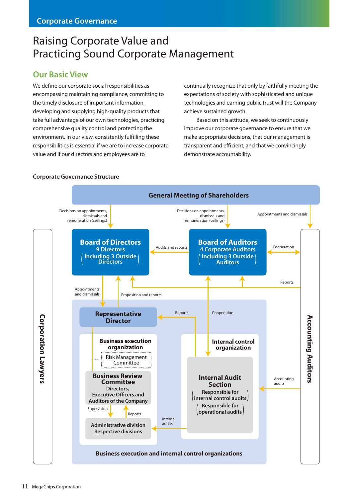# Raising Corporate Value and<br>Practicing Sound Corporate Management Practicing Sound Corporate Management

### **Our Basic View**

We define our corporate social responsibilities as<br>encompassing maintaining compliance, committing to the timely disclosure of important information, developing and supplying high-quality products that take full advantage of our own technologies, practicing comprehensive quality control and protecting the environment. In our view, consistently fulfilling these responsibilities is essential if we are to increase corporate value and if our directors and employees are to value and if our directors and employees are to

continually recognize that only by faithfully meeting the<br>expectations of society with sophisticated and unique technologies and earning public trust will the Company achieve sustained growth.

Based on this attitude, we seek to continuously improve our corporate governance to ensure that we make appropriate decisions, that our management is transparent and efficient, and that we convincingly demonstrate accountability. demonstrate accountability.

### **Corporate Governance Structure**

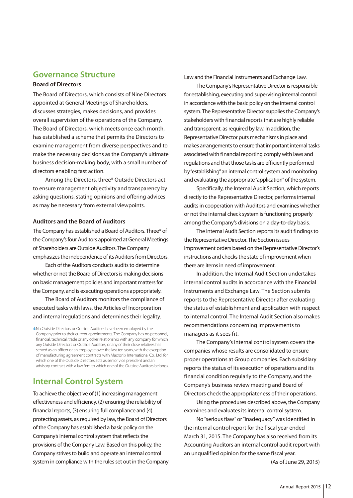### **Governance Structure**

### **Board of Directors**

The Board of Directors, which consists of Nine Directors appointed at General Meetings of Shareholders, discusses strategies, makes decisions, and provides overall supervision of the operations of the Company. The Board of Directors, which meets once each month, has established a scheme that permits the Directors to examine management from diverse perspectives and to make the necessary decisions as the Company's ultimate business decision-making body, with a small number of directors enabling fast action.

Among the Directors, three\* Outside Directors act to ensure management objectivity and transparency by asking questions, stating opinions and offering advices as may be necessary from external viewpoints.

### **Auditors and the Board of Auditors**

The Company has established a Board of Auditors. Three\* of the Company's four Auditors appointed at General Meetings of Shareholders are Outside Auditors. The Company emphasizes the independence of its Auditors from Directors.

Each of the Auditors conducts audits to determine whether or not the Board of Directors is making decisions on basic management policies and important matters for the Company, and is executing operations appropriately.

The Board of Auditors monitors the compliance of executed tasks with laws, the Articles of Incorporation and internal regulations and determines their legality.

### **Internal Control System**

To achieve the objective of (1) increasing management effectiveness and efficiency, (2) ensuring the reliability of financial reports, (3) ensuring full compliance and (4) protecting assets, as required by law, the Board of Directors of the Company has established a basic policy on the Company's internal control system that reflects the provisions of the Company Law. Based on this policy, the Company strives to build and operate an internal control system in compliance with the rules set out in the Company Law and the Financial Instruments and Exchange Law.

The Company's Representative Director is responsible for establishing, executing and supervising internal control in accordance with the basic policy on the internal control system. The Representative Director supplies the Company's stakeholders with financial reports that are highly reliable and transparent, as required by law. In addition, the Representative Director puts mechanisms in place and makes arrangements to ensure that important internal tasks associated with financial reporting comply with laws and regulations and that those tasks are efficiently performed by "establishing" an internal control system and monitoring and evaluating the appropriate "application" of the system.

Specifically, the Internal Audit Section, which reports directly to the Representative Director, performs internal audits in cooperation with Auditors and examines whether or not the internal check system is functioning properly among the Company's divisions on a day-to-day basis.

The Internal Audit Section reports its audit findings to the Representative Director. The Section issues improvement orders based on the Representative Director's instructions and checks the state of improvement when there are items in need of improvement.

In addition, the Internal Audit Section undertakes internal control audits in accordance with the Financial Instruments and Exchange Law. The Section submits reports to the Representative Director after evaluating the status of establishment and application with respect to internal control. The Internal Audit Section also makes recommendations concerning improvements to managers as it sees fit.

The Company's internal control system covers the companies whose results are consolidated to ensure proper operations at Group companies. Each subsidiary reports the status of its execution of operations and its financial condition regularly to the Company, and the Company's business review meeting and Board of Directors check the appropriateness of their operations.

Using the procedures described above, the Company examines and evaluates its internal control system.

No "serious flaw" or "inadequacy" was identified in the internal control report for the fiscal year ended March 31, 2015. The Company has also received from its Accounting Auditors an internal control audit report with an unqualified opinion for the same fiscal year.

(As of June 29, 2015)

<sup>\*</sup>No Outside Directors or Outside Auditors have been employed by the Company prior to their current appointments. The Company has no personnel, financial, technical, trade or any other relationship with any company for which any Outside Directors or Outside Auditors, or any of their close relatives has served as an officer or an employee over the last ten years, with the exception of manufacturing agreement contracts with Macronix International Co., Ltd. for which one of the Outside Directors acts as senior vice president and an advisory contract with a law firm to which one of the Outside Auditors belongs.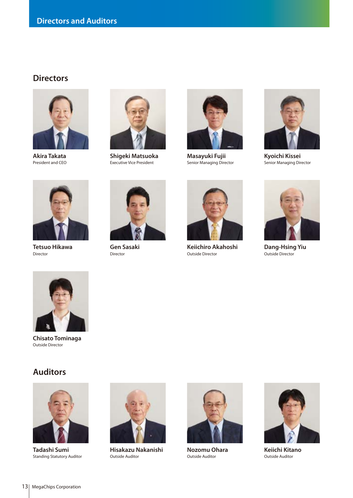### **Directors**



**Akira Takata** President and CEO



**Shigeki Matsuoka** Executive Vice President



**Masayuki Fujii** Senior Managing Director



**Kyoichi Kissei** Senior Managing Director



**Tetsuo Hikawa** Director



**Gen Sasaki** Director



**Keiichiro Akahoshi** Outside Director



**Dang-Hsing Yiu** Outside Director



**Chisato Tominaga** Outside Director

### **Auditors**



**Tadashi Sumi** Standing Statutory Auditor



**Hisakazu Nakanishi** Outside Auditor



**Nozomu Ohara** Outside Auditor



**Keiichi Kitano** Outside Auditor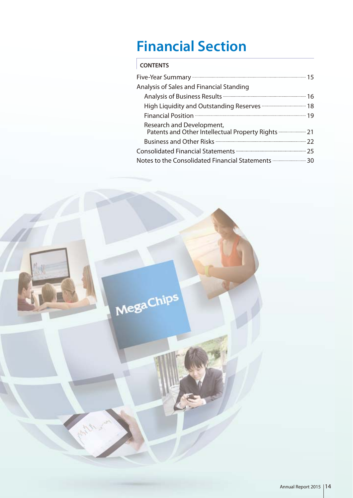# **Financial Section**

## **CONTENTS**

| Analysis of Sales and Financial Standing                                            |  |
|-------------------------------------------------------------------------------------|--|
| Analysis of Business Results <b>Constitute Analysis</b> 16                          |  |
| High Liquidity and Outstanding Reserves <b>Constituted:</b> 18                      |  |
| Financial Position <b>Construction</b> 29                                           |  |
| Research and Development,                                                           |  |
|                                                                                     |  |
|                                                                                     |  |
| Notes to the Consolidated Financial Statements <b>Constant Constant Constant</b> 30 |  |

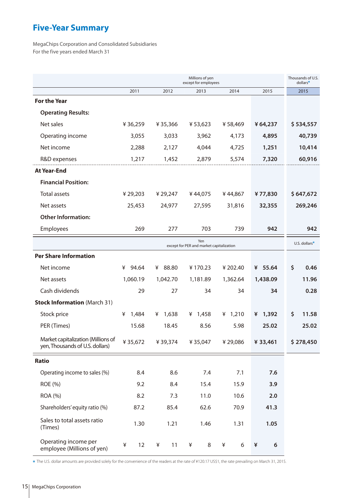### **Five-Year Summary**

MegaChips Corporation and Consolidated Subsidiaries For the five years ended March 31

|                                                                       |                                                 |            | Millions of yen<br>except for employees |           |            | Thousands of U.S.<br>dollars* |  |  |
|-----------------------------------------------------------------------|-------------------------------------------------|------------|-----------------------------------------|-----------|------------|-------------------------------|--|--|
|                                                                       | 2011                                            | 2012       | 2013                                    | 2014      | 2015       | 2015                          |  |  |
| <b>For the Year</b>                                                   |                                                 |            |                                         |           |            |                               |  |  |
| <b>Operating Results:</b>                                             |                                                 |            |                                         |           |            |                               |  |  |
| Net sales                                                             | ¥ 36,259                                        | ¥35,366    | ¥ 53,623                                | ¥ 58,469  | ¥64,237    | \$534,557                     |  |  |
| Operating income                                                      | 3,055                                           | 3,033      | 3,962                                   | 4,173     | 4,895      | 40,739                        |  |  |
| Net income                                                            | 2,288                                           | 2,127      | 4,044                                   | 4,725     | 1,251      | 10,414                        |  |  |
| R&D expenses                                                          | 1,217                                           | 1,452      | 2,879                                   | 5,574     | 7,320      | 60,916                        |  |  |
| <b>At Year-End</b>                                                    |                                                 |            |                                         |           |            |                               |  |  |
| <b>Financial Position:</b>                                            |                                                 |            |                                         |           |            |                               |  |  |
| <b>Total assets</b>                                                   | ¥ 29,203                                        | ¥ 29,247   | ¥44,075                                 | ¥44,867   | ¥77,830    | \$647,672                     |  |  |
| Net assets                                                            | 25,453                                          | 24,977     | 27,595                                  | 31,816    | 32,355     | 269,246                       |  |  |
| <b>Other Information:</b>                                             |                                                 |            |                                         |           |            |                               |  |  |
| Employees                                                             | 269                                             | 277        | 703                                     | 739       | 942        | 942                           |  |  |
|                                                                       | Yen<br>except for PER and market capitalization |            |                                         |           |            |                               |  |  |
| <b>Per Share Information</b>                                          |                                                 |            |                                         |           |            |                               |  |  |
| Net income                                                            | 94.64<br>¥                                      | ¥ 88.80    | ¥170.23                                 | ¥ 202.40  | ¥ $55.64$  | \$<br>0.46                    |  |  |
| Net assets                                                            | 1,060.19                                        | 1,042.70   | 1,181.89                                | 1,362.64  | 1,438.09   | 11.96                         |  |  |
| Cash dividends                                                        | 29                                              | 27         | 34                                      | 34        | 34         | 0.28                          |  |  |
| <b>Stock Information (March 31)</b>                                   |                                                 |            |                                         |           |            |                               |  |  |
| Stock price                                                           | 1,484<br>¥                                      | 1,638<br>¥ | 1,458<br>¥                              | ¥ $1,210$ | 1,392<br>¥ | \$<br>11.58                   |  |  |
| PER (Times)                                                           | 15.68                                           | 18.45      | 8.56                                    | 5.98      | 25.02      | 25.02                         |  |  |
| Market capitalization (Millions of<br>yen, Thousands of U.S. dollars) | ¥35,672                                         | ¥39,374    | ¥35,047                                 | ¥29,086   | ¥ 33,461   | \$278,450                     |  |  |
| Ratio                                                                 |                                                 |            |                                         |           |            |                               |  |  |
| Operating income to sales (%)                                         | 8.4                                             | 8.6        | 7.4                                     | 7.1       | 7.6        |                               |  |  |
| ROE (%)                                                               | 9.2                                             | 8.4        | 15.4                                    | 15.9      | 3.9        |                               |  |  |
| ROA (%)                                                               | 8.2                                             | 7.3        | 11.0                                    | 10.6      | 2.0        |                               |  |  |
| Shareholders' equity ratio (%)                                        | 87.2                                            | 85.4       | 62.6                                    | 70.9      | 41.3       |                               |  |  |
| Sales to total assets ratio<br>(Times)                                | 1.30                                            | 1.21       | 1.46                                    | 1.31      | 1.05       |                               |  |  |
| Operating income per<br>employee (Millions of yen)                    | ¥<br>12                                         | ¥<br>11    | ¥<br>8                                  | ¥<br>6    | ¥<br>6     |                               |  |  |

The U.S. dollar amounts are provided solely for the convenience of the readers at the rate of ¥120.17 US\$1, the rate prevailing on March 31, 2015.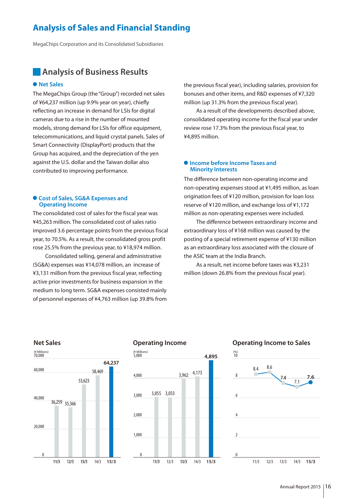### **Analysis of Sales and Financial Standing**

MegaChips Corporation and its Consolidated Subsidiaries

### **Analysis of Business Results**

### $\bullet$  Net Sales

The MegaChips Group (the "Group") recorded net sales of ¥64,237 million (up 9.9% year on year), chiefly reflecting an increase in demand for LSIs for digital cameras due to a rise in the number of mounted models, strong demand for LSIs for office equipment, telecommunications, and liquid crystal panels. Sales of Smart Connectivity (DisplayPort) products that the Group has acquired, and the depreciation of the yen against the U.S. dollar and the Taiwan dollar also contributed to improving performance.

#### **Cost of Sales, SG&A Expenses and Operating Income**

The consolidated cost of sales for the fiscal year was ¥45,263 million. The consolidated cost of sales ratio improved 3.6 percentage points from the previous fiscal year, to 70.5%. As a result, the consolidated gross profit rose 25.5% from the previous year, to ¥18,974 million.

Consolidated selling, general and administrative (SG&A) expenses was ¥14,078 million, an increase of ¥3,131 million from the previous fiscal year, reflecting active prior investments for business expansion in the medium to long term. SG&A expenses consisted mainly of personnel expenses of ¥4,763 million (up 39.8% from the previous fiscal year), including salaries, provision for bonuses and other items, and R&D expenses of ¥7,320 million (up 31.3% from the previous fiscal year).

As a result of the developments described above, consolidated operating income for the fiscal year under review rose 17.3% from the previous fiscal year, to ¥4,895 million.

#### **Income before Income Taxes and Minority Interests**

The difference between non-operating income and non-operating expenses stood at ¥1,495 million, as loan origination fees of ¥120 million, provision for loan loss reserve of ¥120 million, and exchange loss of ¥1,172 million as non-operating expenses were included.

The difference between extraordinary income and extraordinary loss of ¥168 million was caused by the posting of a special retirement expense of ¥130 million as an extraordinary loss associated with the closure of the ASIC team at the India Branch.

As a result, net income before taxes was ¥3,231 million (down 26.8% from the previous fiscal year).





### **Net Sales Operating Income to Sales Operating Income**

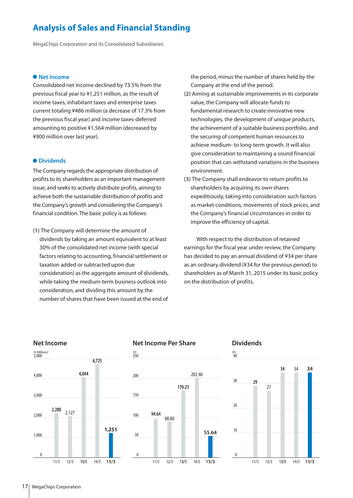### **Analysis of Sales and Financial Standing**

MegaChips Corporation and its Consolidated Subsidiaries

### **Net Income**

Consolidated net income declined by 73.5% from the previous fiscal year to ¥1,251 million, as the result of income taxes, inhabitant taxes and enterprise taxes current totaling ¥486 million (a decrease of 17.3% from the previous fiscal year) and income taxes-deferred amounting to positive ¥1,564 million (decreased by ¥900 million over last year).

#### **Dividends**

The Company regards the appropriate distribution of profits to its shareholders as an important management issue, and seeks to actively distribute profits, aiming to achieve both the sustainable distribution of profits and the Company's growth and considering the Company's financial condition. The basic policy is as follows:

**(1)** The Company will determine the amount of dividends by taking an amount equivalent to at least 30% of the consolidated net income (with special factors relating to accounting, financial settlement or taxation added or subtracted upon due consideration) as the aggregate amount of dividends, while taking the medium-term business outlook into consideration, and dividing this amount by the number of shares that have been issued at the end of

the period, minus the number of shares held by the Company at the end of the period.

- **(2)** Aiming at sustainable improvements in its corporate value, the Company will allocate funds to fundamental research to create innovative new technologies, the development of unique products, the achievement of a suitable business portfolio, and the securing of competent human resources to achieve medium- to long-term growth. It will also give consideration to maintaining a sound financial position that can withstand variations in the business environment.
- **(3)** The Company shall endeavor to return profits to shareholders by acquiring its own shares expeditiously, taking into consideration such factors as market conditions, movements of stock prices, and the Company's financial circumstances in order to improve the efficiency of capital.

With respect to the distribution of retained earnings for the fiscal year under review, the Company has decided to pay an annual dividend of ¥34 per share as an ordinary dividend (¥34 for the previous period) to shareholders as of March 31, 2015 under its basic policy on the distribution of profits.

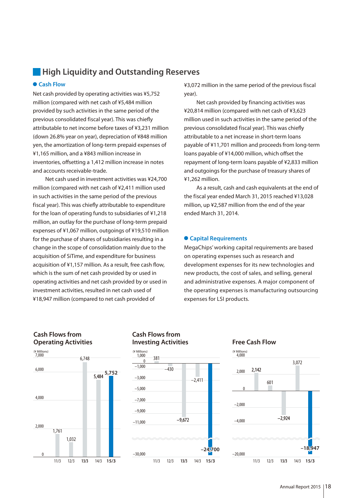### **High Liquidity and Outstanding Reserves**

Net cash provided by operating activities was ¥5,752 million (compared with net cash of ¥5,484 million provided by such activities in the same period of the previous consolidated fiscal year). This was chiefly attributable to net income before taxes of ¥3,231 million (down 26.8% year on year), depreciation of ¥848 million yen, the amortization of long-term prepaid expenses of ¥1,165 million, and a ¥843 million increase in inventories, offsetting a 1,412 million increase in notes and accounts receivable-trade.

Net cash used in investment activities was ¥24,700 million (compared with net cash of ¥2,411 million used in such activities in the same period of the previous fiscal year). This was chiefly attributable to expenditure for the loan of operating funds to subsidiaries of ¥1,218 million, an outlay for the purchase of long-term prepaid expenses of ¥1,067 million, outgoings of ¥19,510 million for the purchase of shares of subsidiaries resulting in a change in the scope of consolidation mainly due to the acquisition of SiTime, and expenditure for business acquisition of ¥1,157 million. As a result, free cash flow, which is the sum of net cash provided by or used in operating activities and net cash provided by or used in investment activities, resulted in net cash used of ¥18,947 million (compared to net cash provided of

**Cash Flow** ¥3,072 million in the same period of the previous fiscal year).

> Net cash provided by financing activities was ¥20,814 million (compared with net cash of ¥3,623 million used in such activities in the same period of the previous consolidated fiscal year). This was chiefly attributable to a net increase in short-term loans payable of ¥11,701 million and proceeds from long-term loans payable of ¥14,000 million, which offset the repayment of long-term loans payable of ¥2,833 million and outgoings for the purchase of treasury shares of ¥1,262 million.

> As a result, cash and cash equivalents at the end of the fiscal year ended March 31, 2015 reached ¥13,028 million, up ¥2,587 million from the end of the year ended March 31, 2014.

#### **Capital Requirements**

MegaChips' working capital requirements are based on operating expenses such as research and development expenses for its new technologies and new products, the cost of sales, and selling, general and administrative expenses. A major component of the operating expenses is manufacturing outsourcing expenses for LSI products.

### **Cash Flows from Operating Activities**



### **Cash Flows from Investing Activities**





(¥ Millions) 4,000

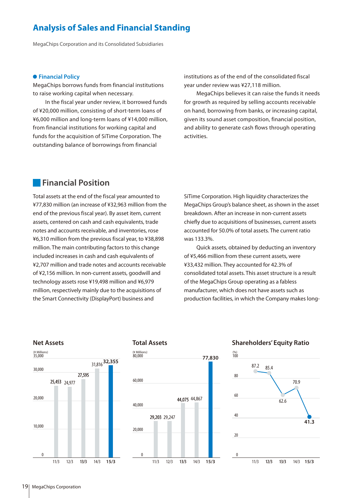### **Analysis of Sales and Financial Standing**

MegaChips Corporation and its Consolidated Subsidiaries

### **Financial Policy**

MegaChips borrows funds from financial institutions to raise working capital when necessary.

In the fiscal year under review, it borrowed funds of ¥20,000 million, consisting of short-term loans of ¥6,000 million and long-term loans of ¥14,000 million, from financial institutions for working capital and funds for the acquisition of SiTime Corporation. The outstanding balance of borrowings from financial

institutions as of the end of the consolidated fiscal year under review was ¥27,118 million.

MegaChips believes it can raise the funds it needs for growth as required by selling accounts receivable on hand, borrowing from banks, or increasing capital, given its sound asset composition, financial position, and ability to generate cash flows through operating activities.

### **Financial Position**

Total assets at the end of the fiscal year amounted to ¥77,830 million (an increase of ¥32,963 million from the end of the previous fiscal year). By asset item, current assets, centered on cash and cash equivalents, trade notes and accounts receivable, and inventories, rose ¥6,310 million from the previous fiscal year, to ¥38,898 million. The main contributing factors to this change included increases in cash and cash equivalents of ¥2,707 million and trade notes and accounts receivable of ¥2,156 million. In non-current assets, goodwill and technology assets rose ¥19,498 million and ¥6,979 million, respectively mainly due to the acquisitions of the Smart Connectivity (DisplayPort) business and

SiTime Corporation. High liquidity characterizes the MegaChips Group's balance sheet, as shown in the asset breakdown. After an increase in non-current assets chiefly due to acquisitions of businesses, current assets accounted for 50.0% of total assets. The current ratio was 133.3%.

Quick assets, obtained by deducting an inventory of ¥5,466 million from these current assets, were ¥33,432 million. They accounted for 42.3% of consolidated total assets. This asset structure is a result of the MegaChips Group operating as a fabless manufacturer, which does not have assets such as production facilities, in which the Company makes long-



#### **Total Assets**



### **Shareholders' Equity Ratio**

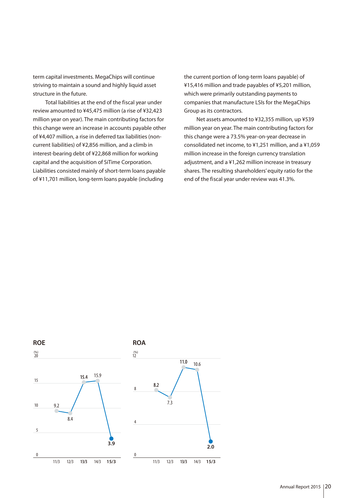term capital investments. MegaChips will continue<br>striving to maintain a sound and highly liguid asset structure in the future.

Total liabilities at the end of the fiscal year under review amounted to ¥45,475 million (a rise of ¥32,423 million year on year). The main contributing factors for this change were an increase in accounts payable other of ¥4,407 million, a rise in deferred tax liabilities (noncurrent liabilities) of ¥2,856 million, and a climb in interest-bearing debt of ¥22,868 million for working capital and the acquisition of SiTime Corporation. Liabilities consisted mainly of short-term loans payable of ¥11,701 million, long-term loans payable (including  $\frac{1}{2}$ ,  $\frac{1}{2}$ ,  $\frac{1}{2}$ ,  $\frac{1}{2}$ ,  $\frac{1}{2}$ ,  $\frac{1}{2}$ ,  $\frac{1}{2}$ ,  $\frac{1}{2}$ ,  $\frac{1}{2}$ ,  $\frac{1}{2}$ ,  $\frac{1}{2}$ ,  $\frac{1}{2}$ ,  $\frac{1}{2}$ ,  $\frac{1}{2}$ ,  $\frac{1}{2}$ ,  $\frac{1}{2}$ ,  $\frac{1}{2}$ ,  $\frac{1}{2}$ ,  $\frac{1}{2}$ ,  $\frac{1}{2}$ ,

the current portion of long-term loans payable) of<br>¥15,416 million and trade payables of ¥5,201 million, which were primarily outstanding payments to companies that manufacture LSIs for the MegaChips Group as its contractors.

Net assets amounted to ¥32,355 million, up ¥539 million year on year. The main contributing factors for this change were a 73.5% year-on-year decrease in consolidated net income, to  $41,251$  million, and a  $41,059$ million increase in the foreign currency translation adjustment, and a  $41,262$  million increase in treasury shares. The resulting shareholders' equity ratio for the end of the fiscal year under review was 41.3%. end of the fiscal year under review was 41.3%.

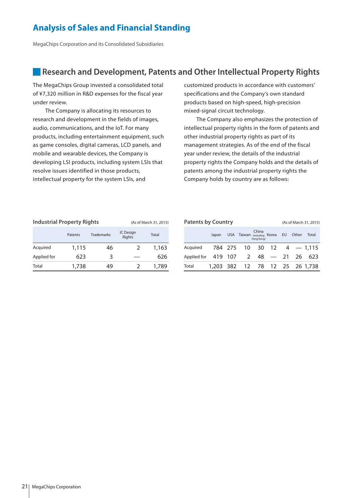## **Analysis of Sales and Financial Standing**

MegaChips Corporation and its Consolidated Subsidiaries

### **Research and Development, Patents and Other Intellectual Property Rights**

The MegaChips Group invested a consolidated total of ¥7,320 million in R&D expenses for the fiscal year under review.

The Company is allocating its resources to research and development in the fields of images, audio, communications, and the IoT. For many products, including entertainment equipment, such as game consoles, digital cameras, LCD panels, and mobile and wearable devices, the Company is developing LSI products, including system LSIs that resolve issues identified in those products, intellectual property for the system LSIs, and

customized products in accordance with customers' specifications and the Company's own standard products based on high-speed, high-precision mixed-signal circuit technology.

The Company also emphasizes the protection of intellectual property rights in the form of patents and other industrial property rights as part of its management strategies. As of the end of the fiscal year under review, the details of the industrial property rights the Company holds and the details of patents among the industrial property rights the Company holds by country are as follows:

| <b>Industrial Property Rights</b> |         |                   | (As of March 31, 2015) |       |
|-----------------------------------|---------|-------------------|------------------------|-------|
|                                   | Patents | <b>Trademarks</b> | IC Design<br>Rights    | Total |
| Acquired                          | 1,115   | 46                | 2                      | 1,163 |
| Applied for                       | 623     | З                 |                        | 626   |
| Total                             | 1,738   | 49                |                        | 1,789 |
|                                   |         |                   |                        |       |

| <b>Patents by Country</b>        |                                | (As of March 31, 2015) |                                                             |  |  |                            |
|----------------------------------|--------------------------------|------------------------|-------------------------------------------------------------|--|--|----------------------------|
|                                  | Japan                          |                        | China<br>USA Taiwan (including Korea EU Other<br>Hong Kong) |  |  | Total                      |
| Acquired                         |                                |                        |                                                             |  |  | 784 275 10 30 12 4 - 1.115 |
| Applied for 419 107 2 48 - 21 26 |                                |                        |                                                             |  |  | -623                       |
| Total                            | 1,203 382 12 78 12 25 26 1,738 |                        |                                                             |  |  |                            |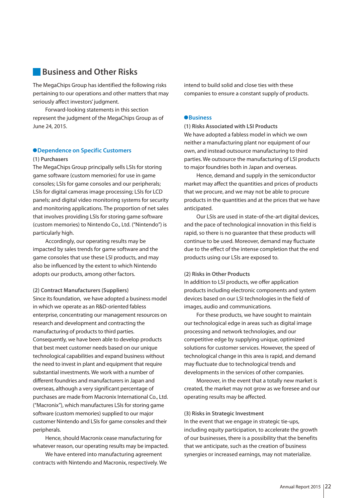### **Business and Other Risks**

The MegaChips Group has identified the following risks pertaining to our operations and other matters that may seriously affect investors' judgment.

Forward-looking statements in this section represent the judgment of the MegaChips Group as of June 24, 2015.

### **Dependence on Specific Customers**

#### **(1) Purchasers**

The MegaChips Group principally sells LSIs for storing game software (custom memories) for use in game consoles; LSIs for game consoles and our peripherals; LSIs for digital cameras image processing; LSIs for LCD panels; and digital video monitoring systems for security and monitoring applications. The proportion of net sales that involves providing LSIs for storing game software (custom memories) to Nintendo Co., Ltd. ("Nintendo") is particularly high.

Accordingly, our operating results may be impacted by sales trends for game software and the game consoles that use these LSI products, and may also be influenced by the extent to which Nintendo adopts our products, among other factors.

#### **(2) Contract Manufacturers (Suppliers)**

Since its foundation, we have adopted a business model in which we operate as an R&D-oriented fabless enterprise, concentrating our management resources on research and development and contracting the manufacturing of products to third parties. Consequently, we have been able to develop products that best meet customer needs based on our unique technological capabilities and expand business without the need to invest in plant and equipment that require substantial investments. We work with a number of different foundries and manufacturers in Japan and overseas, although a very significant percentage of purchases are made from Macronix International Co., Ltd. ("Macronix"), which manufactures LSIs for storing game software (custom memories) supplied to our major customer Nintendo and LSIs for game consoles and their peripherals.

Hence, should Macronix cease manufacturing for whatever reason, our operating results may be impacted.

We have entered into manufacturing agreement contracts with Nintendo and Macronix, respectively. We

intend to build solid and close ties with these companies to ensure a constant supply of products.

#### **Business**

**(1) Risks Associated with LSI Products** We have adopted a fabless model in which we own neither a manufacturing plant nor equipment of our own, and instead outsource manufacturing to third parties. We outsource the manufacturing of LSI products to major foundries both in Japan and overseas.

Hence, demand and supply in the semiconductor market may affect the quantities and prices of products that we procure, and we may not be able to procure products in the quantities and at the prices that we have anticipated.

Our LSIs are used in state-of-the-art digital devices, and the pace of technological innovation in this field is rapid, so there is no guarantee that these products will continue to be used. Moreover, demand may fluctuate due to the effect of the intense completion that the end products using our LSIs are exposed to.

### **(2) Risks in Other Products**

In addition to LSI products, we offer application products including electronic components and system devices based on our LSI technologies in the field of images, audio and communications.

For these products, we have sought to maintain our technological edge in areas such as digital image processing and network technologies, and our competitive edge by supplying unique, optimized solutions for customer services. However, the speed of technological change in this area is rapid, and demand may fluctuate due to technological trends and developments in the services of other companies.

Moreover, in the event that a totally new market is created, the market may not grow as we foresee and our operating results may be affected.

### **(3) Risks in Strategic Investment**

In the event that we engage in strategic tie-ups, including equity participation, to accelerate the growth of our businesses, there is a possibility that the benefits that we anticipate, such as the creation of business synergies or increased earnings, may not materialize.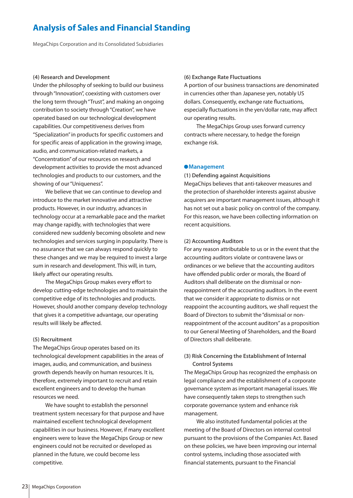### **Analysis of Sales and Financial Standing**

MegaChips Corporation and its Consolidated Subsidiaries

### **(4) Research and Development**

Under the philosophy of seeking to build our business through "Innovation", coexisting with customers over the long term through "Trust", and making an ongoing contribution to society through "Creation", we have operated based on our technological development capabilities. Our competitiveness derives from "Specialization" in products for specific customers and for specific areas of application in the growing image, audio, and communication-related markets, a "Concentration" of our resources on research and development activities to provide the most advanced technologies and products to our customers, and the showing of our "Uniqueness".

We believe that we can continue to develop and introduce to the market innovative and attractive products. However, in our industry, advances in technology occur at a remarkable pace and the market may change rapidly, with technologies that were considered new suddenly becoming obsolete and new technologies and services surging in popularity. There is no assurance that we can always respond quickly to these changes and we may be required to invest a large sum in research and development. This will, in turn, likely affect our operating results.

The MegaChips Group makes every effort to develop cutting-edge technologies and to maintain the competitive edge of its technologies and products. However, should another company develop technology that gives it a competitive advantage, our operating results will likely be affected.

#### **(5) Recruitment**

The MegaChips Group operates based on its technological development capabilities in the areas of images, audio, and communication, and business growth depends heavily on human resources. It is, therefore, extremely important to recruit and retain excellent engineers and to develop the human resources we need.

We have sought to establish the personnel treatment system necessary for that purpose and have maintained excellent technological development capabilities in our business. However, if many excellent engineers were to leave the MegaChips Group or new engineers could not be recruited or developed as planned in the future, we could become less competitive.

### **(6) Exchange Rate Fluctuations**

A portion of our business transactions are denominated in currencies other than Japanese yen, notably US dollars. Consequently, exchange rate fluctuations, especially fluctuations in the yen/dollar rate, may affect our operating results.

The MegaChips Group uses forward currency contracts where necessary, to hedge the foreign exchange risk.

#### **Management**

**(1) Defending against Acquisitions**

MegaChips believes that anti-takeover measures and the protection of shareholder interests against abusive acquirers are important management issues, although it has not set out a basic policy on control of the company. For this reason, we have been collecting information on recent acquisitions.

#### **(2) Accounting Auditors**

For any reason attributable to us or in the event that the accounting auditors violate or contravene laws or ordinances or we believe that the accounting auditors have offended public order or morals, the Board of Auditors shall deliberate on the dismissal or nonreappointment of the accounting auditors. In the event that we consider it appropriate to dismiss or not reappoint the accounting auditors, we shall request the Board of Directors to submit the "dismissal or nonreappointment of the account auditors" as a proposition to our General Meeting of Shareholders, and the Board of Directors shall deliberate.

### **(3) Risk Concerning the Establishment of Internal Control Systems**

The MegaChips Group has recognized the emphasis on legal compliance and the establishment of a corporate governance system as important managerial issues. We have consequently taken steps to strengthen such corporate governance system and enhance risk management.

We also instituted fundamental policies at the meeting of the Board of Directors on internal control pursuant to the provisions of the Companies Act. Based on these policies, we have been improving our internal control systems, including those associated with financial statements, pursuant to the Financial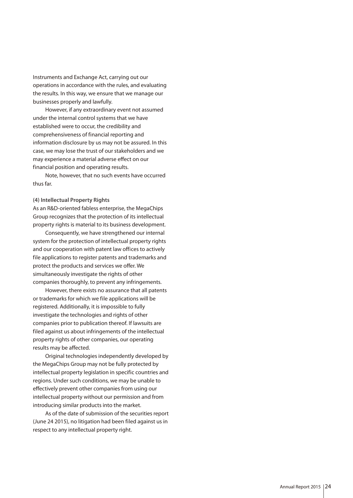Instruments and Exchange Act, carrying out our operations in accordance with the rules, and evaluating the results. In this way, we ensure that we manage our businesses properly and lawfully.

However, if any extraordinary event not assumed under the internal control systems that we have established were to occur, the credibility and comprehensiveness of financial reporting and information disclosure by us may not be assured. In this case, we may lose the trust of our stakeholders and we may experience a material adverse effect on our financial position and operating results.

Note, however, that no such events have occurred thus far.

### **(4) Intellectual Property Rights**

As an R&D-oriented fabless enterprise, the MegaChips Group recognizes that the protection of its intellectual property rights is material to its business development.

Consequently, we have strengthened our internal system for the protection of intellectual property rights and our cooperation with patent law offices to actively file applications to register patents and trademarks and protect the products and services we offer. We simultaneously investigate the rights of other companies thoroughly, to prevent any infringements.

However, there exists no assurance that all patents or trademarks for which we file applications will be registered. Additionally, it is impossible to fully investigate the technologies and rights of other companies prior to publication thereof. If lawsuits are filed against us about infringements of the intellectual property rights of other companies, our operating results may be affected.

Original technologies independently developed by the MegaChips Group may not be fully protected by intellectual property legislation in specific countries and regions. Under such conditions, we may be unable to effectively prevent other companies from using our intellectual property without our permission and from introducing similar products into the market.

As of the date of submission of the securities report (June 24 2015), no litigation had been filed against us in respect to any intellectual property right.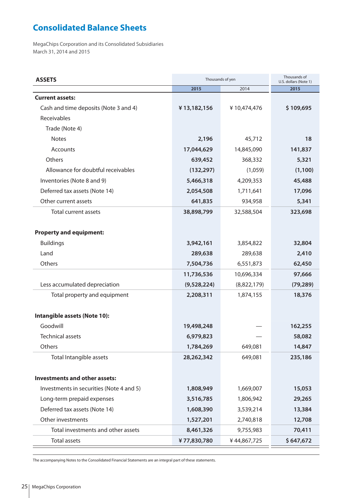### **Consolidated Balance Sheets**

MegaChips Corporation and its Consolidated Subsidiaries March 31, 2014 and 2015

| <b>ASSETS</b>                            | Thousands of yen | Thousands of<br>U.S. dollars (Note 1) |           |
|------------------------------------------|------------------|---------------------------------------|-----------|
|                                          | 2015             | 2014                                  | 2015      |
| <b>Current assets:</b>                   |                  |                                       |           |
| Cash and time deposits (Note 3 and 4)    | ¥13,182,156      | ¥10,474,476                           | \$109,695 |
| Receivables                              |                  |                                       |           |
| Trade (Note 4)                           |                  |                                       |           |
| <b>Notes</b>                             | 2,196            | 45,712                                | 18        |
| Accounts                                 | 17,044,629       | 14,845,090                            | 141,837   |
| <b>Others</b>                            | 639,452          | 368,332                               | 5,321     |
| Allowance for doubtful receivables       | (132, 297)       | (1,059)                               | (1,100)   |
| Inventories (Note 8 and 9)               | 5,466,318        | 4,209,353                             | 45,488    |
| Deferred tax assets (Note 14)            | 2,054,508        | 1,711,641                             | 17,096    |
| Other current assets                     | 641,835          | 934,958                               | 5,341     |
| Total current assets                     | 38,898,799       | 32,588,504                            | 323,698   |
|                                          |                  |                                       |           |
| <b>Property and equipment:</b>           |                  |                                       |           |
| <b>Buildings</b>                         | 3,942,161        | 3,854,822                             | 32,804    |
| Land                                     | 289,638          | 289,638                               | 2,410     |
| Others                                   | 7,504,736        | 6,551,873                             | 62,450    |
|                                          | 11,736,536       | 10,696,334                            | 97,666    |
| Less accumulated depreciation            | (9,528,224)      | (8,822,179)                           | (79, 289) |
| Total property and equipment             | 2,208,311        | 1,874,155                             | 18,376    |
|                                          |                  |                                       |           |
| Intangible assets (Note 10):             |                  |                                       |           |
| Goodwill                                 | 19,498,248       |                                       | 162,255   |
| <b>Technical assets</b>                  | 6,979,823        |                                       | 58,082    |
| Others                                   | 1,784,269        | 649,081                               | 14,847    |
| Total Intangible assets                  | 28,262,342       | 649,081                               | 235,186   |
|                                          |                  |                                       |           |
| Investments and other assets:            |                  |                                       |           |
| Investments in securities (Note 4 and 5) | 1,808,949        | 1,669,007                             | 15,053    |
| Long-term prepaid expenses               | 3,516,785        | 1,806,942                             | 29,265    |
| Deferred tax assets (Note 14)            | 1,608,390        | 3,539,214                             | 13,384    |
| Other investments                        | 1,527,201        | 2,740,818                             | 12,708    |
| Total investments and other assets       | 8,461,326        | 9,755,983                             | 70,411    |
| Total assets                             | ¥77,830,780      | ¥44,867,725                           | \$647,672 |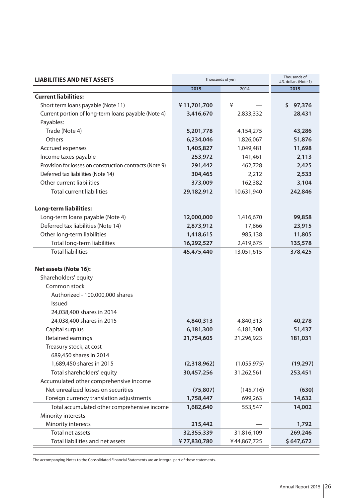| <b>LIABILITIES AND NET ASSETS</b>                       | Thousands of yen | Thousands of<br>U.S. dollars (Note 1) |           |
|---------------------------------------------------------|------------------|---------------------------------------|-----------|
|                                                         | 2015             | 2014                                  | 2015      |
| <b>Current liabilities:</b>                             |                  |                                       |           |
| Short term loans payable (Note 11)                      | ¥11,701,700      | ¥                                     | \$97,376  |
| Current portion of long-term loans payable (Note 4)     | 3,416,670        | 2,833,332                             | 28,431    |
| Payables:                                               |                  |                                       |           |
| Trade (Note 4)                                          | 5,201,778        | 4,154,275                             | 43,286    |
| <b>Others</b>                                           | 6,234,046        | 1,826,067                             | 51,876    |
| Accrued expenses                                        | 1,405,827        | 1,049,481                             | 11,698    |
| Income taxes payable                                    | 253,972          | 141,461                               | 2,113     |
| Provision for losses on construction contracts (Note 9) | 291,442          | 462,728                               | 2,425     |
| Deferred tax liabilities (Note 14)                      | 304,465          | 2,212                                 | 2,533     |
| Other current liabilities                               | 373,009          | 162,382                               | 3,104     |
| <b>Total current liabilities</b>                        | 29,182,912       | 10,631,940                            | 242,846   |
|                                                         |                  |                                       |           |
| Long-term liabilities:                                  |                  |                                       |           |
| Long-term loans payable (Note 4)                        | 12,000,000       | 1,416,670                             | 99,858    |
| Deferred tax liabilities (Note 14)                      | 2,873,912        | 17,866                                | 23,915    |
| Other long-term liabilities                             | 1,418,615        | 985,138                               | 11,805    |
| Total long-term liabilities                             | 16,292,527       | 2,419,675                             | 135,578   |
| <b>Total liabilities</b>                                | 45,475,440       | 13,051,615                            | 378,425   |
|                                                         |                  |                                       |           |
| <b>Net assets (Note 16):</b>                            |                  |                                       |           |
| Shareholders' equity                                    |                  |                                       |           |
| Common stock                                            |                  |                                       |           |
| Authorized - 100,000,000 shares                         |                  |                                       |           |
| Issued                                                  |                  |                                       |           |
| 24,038,400 shares in 2014                               |                  |                                       |           |
| 24,038,400 shares in 2015                               | 4,840,313        | 4,840,313                             | 40,278    |
| Capital surplus                                         | 6,181,300        | 6,181,300                             | 51,437    |
| Retained earnings                                       | 21,754,605       | 21,296,923                            | 181,031   |
| Treasury stock, at cost                                 |                  |                                       |           |
| 689,450 shares in 2014                                  |                  |                                       |           |
| 1,689,450 shares in 2015                                | (2,318,962)      | (1,055,975)                           | (19, 297) |
| Total shareholders' equity                              | 30,457,256       | 31,262,561                            | 253,451   |
| Accumulated other comprehensive income                  |                  |                                       |           |
| Net unrealized losses on securities                     | (75, 807)        | (145, 716)                            | (630)     |
| Foreign currency translation adjustments                | 1,758,447        | 699,263                               | 14,632    |
| Total accumulated other comprehensive income            | 1,682,640        | 553,547                               | 14,002    |
| Minority interests                                      |                  |                                       |           |
| Minority interests                                      | 215,442          |                                       | 1,792     |
| Total net assets                                        | 32,355,339       | 31,816,109                            | 269,246   |
| Total liabilities and net assets                        | ¥77,830,780      | ¥44,867,725                           | \$647,672 |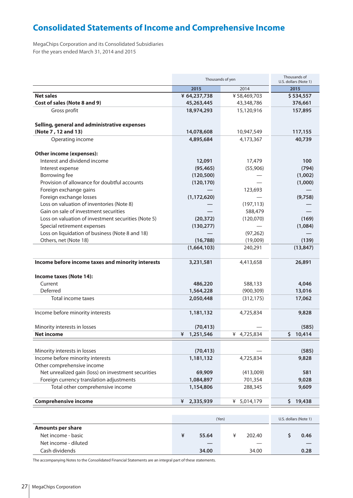## **Consolidated Statements of Income and Comprehensive Income**

MegaChips Corporation and its Consolidated Subsidiaries For the years ended March 31, 2014 and 2015

|                                                     |                | Thousands of yen | Thousands of<br>U.S. dollars (Note 1) |  |  |  |
|-----------------------------------------------------|----------------|------------------|---------------------------------------|--|--|--|
|                                                     | 2015           | 2014             | 2015                                  |  |  |  |
| <b>Net sales</b>                                    | ¥ 64,237,738   | ¥58,469,703      | \$534,557                             |  |  |  |
| Cost of sales (Note 8 and 9)                        | 45,263,445     | 43,348,786       | 376,661                               |  |  |  |
| Gross profit                                        | 18,974,293     | 15,120,916       | 157,895                               |  |  |  |
|                                                     |                |                  |                                       |  |  |  |
| Selling, general and administrative expenses        |                |                  |                                       |  |  |  |
| (Note 7, 12 and 13)                                 | 14,078,608     | 10,947,549       | 117,155                               |  |  |  |
| Operating income                                    | 4,895,684      | 4,173,367        | 40,739                                |  |  |  |
| Other income (expenses):                            |                |                  |                                       |  |  |  |
| Interest and dividend income                        | 12,091         | 17,479           | 100                                   |  |  |  |
| Interest expense                                    | (95, 465)      | (55,906)         | (794)                                 |  |  |  |
| Borrowing fee                                       | (120, 500)     |                  | (1,002)                               |  |  |  |
| Provision of allowance for doubtful accounts        | (120, 170)     |                  | (1,000)                               |  |  |  |
| Foreign exchange gains                              |                | 123,693          |                                       |  |  |  |
| Foreign exchange losses                             | (1, 172, 620)  |                  | (9,758)                               |  |  |  |
| Loss on valuation of inventories (Note 8)           |                |                  |                                       |  |  |  |
| Gain on sale of investment securities               |                | (197, 113)       |                                       |  |  |  |
|                                                     |                | 588,479          |                                       |  |  |  |
| Loss on valuation of investment securities (Note 5) | (20, 372)      | (120,070)        | (169)                                 |  |  |  |
| Special retirement expenses                         | (130, 277)     |                  | (1,084)                               |  |  |  |
| Loss on liquidation of business (Note 8 and 18)     |                | (97, 262)        |                                       |  |  |  |
| Others, net (Note 18)                               | (16, 788)      | (19,009)         | (139)                                 |  |  |  |
|                                                     | (1,664,103)    | 240,291          | (13, 847)                             |  |  |  |
| Income before income taxes and minority interests   | 3,231,581      | 4,413,658        | 26,891                                |  |  |  |
| Income taxes (Note 14):                             |                |                  |                                       |  |  |  |
| Current                                             | 486,220        | 588,133          | 4,046                                 |  |  |  |
| Deferred                                            | 1,564,228      | (900, 309)       | 13,016                                |  |  |  |
| Total income taxes                                  | 2,050,448      | (312, 175)       | 17,062                                |  |  |  |
|                                                     |                |                  |                                       |  |  |  |
| Income before minority interests                    | 1,181,132      | 4,725,834        | 9,828                                 |  |  |  |
| Minority interests in losses                        | (70, 413)      |                  | (585)                                 |  |  |  |
| <b>Net income</b>                                   | ¥<br>1,251,546 | ¥ 4,725,834      | \$10,414                              |  |  |  |
|                                                     |                |                  |                                       |  |  |  |
| Minority interests in losses                        | (70, 413)      |                  | (585)                                 |  |  |  |
| Income before minority interests                    | 1,181,132      | 4,725,834        | 9,828                                 |  |  |  |
| Other comprehensive income                          |                |                  |                                       |  |  |  |
| Net unrealized gain (loss) on investment securities | 69,909         | (413,009)        | 581                                   |  |  |  |
| Foreign currency translation adjustments            | 1,084,897      | 701,354          | 9,028                                 |  |  |  |
| Total other comprehensive income                    | 1,154,806      | 288,345          | 9,609                                 |  |  |  |
| <b>Comprehensive income</b>                         | ¥<br>2,335,939 | ¥ 5,014,179      | \$19,438                              |  |  |  |
|                                                     |                |                  |                                       |  |  |  |
|                                                     |                | (Yen)            | U.S. dollars (Note 1)                 |  |  |  |
| <b>Amounts per share</b>                            |                |                  |                                       |  |  |  |
| Net income - basic                                  | ¥<br>55.64     | ¥<br>202.40      | \$<br>0.46                            |  |  |  |
| Net income - diluted                                |                |                  |                                       |  |  |  |
| Cash dividends                                      | 34.00          | 34.00            | 0.28                                  |  |  |  |
|                                                     |                |                  |                                       |  |  |  |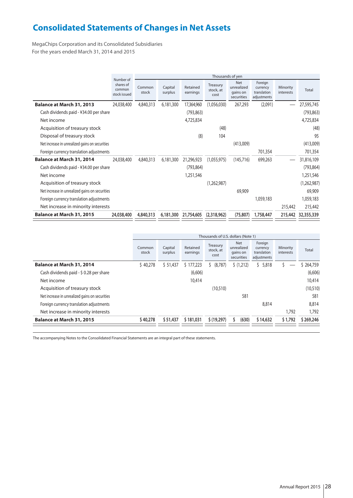## **Consolidated Statements of Changes in Net Assets**

MegaChips Corporation and its Consolidated Subsidiaries For the years ended March 31, 2014 and 2015

|                                                |                                                  | Thousands of yen |                    |                      |                               |                                                    |                                                   |                       |                    |
|------------------------------------------------|--------------------------------------------------|------------------|--------------------|----------------------|-------------------------------|----------------------------------------------------|---------------------------------------------------|-----------------------|--------------------|
|                                                | Number of<br>shares of<br>common<br>stock issued | Common<br>stock  | Capital<br>surplus | Retained<br>earnings | Treasury<br>stock, at<br>cost | <b>Net</b><br>unrealized<br>gains on<br>securities | Foreign<br>currency<br>translation<br>adjustments | Minority<br>interests | Total              |
| Balance at March 31, 2013                      | 24,038,400                                       | 4,840,313        | 6,181,300          | 17,364,960           | (1,056,030)                   | 267,293                                            | (2,091)                                           |                       | 27,595,745         |
| Cash dividends paid - ¥34.00 per share         |                                                  |                  |                    | (793, 863)           |                               |                                                    |                                                   |                       | (793, 863)         |
| Net income                                     |                                                  |                  |                    | 4,725,834            |                               |                                                    |                                                   |                       | 4,725,834          |
| Acquisition of treasury stock                  |                                                  |                  |                    |                      | (48)                          |                                                    |                                                   |                       | (48)               |
| Disposal of treasury stock                     |                                                  |                  |                    | (8)                  | 104                           |                                                    |                                                   |                       | 95                 |
| Net increase in unrealized gains on securities |                                                  |                  |                    |                      |                               | (413,009)                                          |                                                   |                       | (413,009)          |
| Foreign currency translation adjustments       |                                                  |                  |                    |                      |                               |                                                    | 701,354                                           |                       | 701,354            |
| Balance at March 31, 2014                      | 24,038,400                                       | 4,840,313        | 6,181,300          | 21,296,923           | (1,055,975)                   | (145, 716)                                         | 699,263                                           |                       | 31,816,109         |
| Cash dividends paid - ¥34.00 per share         |                                                  |                  |                    | (793, 864)           |                               |                                                    |                                                   |                       | (793, 864)         |
| Net income                                     |                                                  |                  |                    | 1,251,546            |                               |                                                    |                                                   |                       | 1,251,546          |
| Acquisition of treasury stock                  |                                                  |                  |                    |                      | (1,262,987)                   |                                                    |                                                   |                       | (1,262,987)        |
| Net increase in unrealized gains on securities |                                                  |                  |                    |                      |                               | 69,909                                             |                                                   |                       | 69,909             |
| Foreign currency translation adjustments       |                                                  |                  |                    |                      |                               |                                                    | 1,059,183                                         |                       | 1,059,183          |
| Net increase in minority interests             |                                                  |                  |                    |                      |                               |                                                    |                                                   | 215,442               | 215,442            |
| Balance at March 31, 2015                      | 24,038,400                                       | 4,840,313        | 6,181,300          | 21,754,605           | (2,318,962)                   | (75, 807)                                          | 1,758,447                                         |                       | 215,442 32,355,339 |

|                                                | Thousands of U.S. dollars (Note 1) |                    |                      |                               |                                                    |                                                   |                       |           |
|------------------------------------------------|------------------------------------|--------------------|----------------------|-------------------------------|----------------------------------------------------|---------------------------------------------------|-----------------------|-----------|
|                                                | Common<br>stock                    | Capital<br>surplus | Retained<br>earnings | Treasury<br>stock, at<br>cost | <b>Net</b><br>unrealized<br>gains on<br>securities | Foreign<br>currency<br>translation<br>adjustments | Minority<br>interests | Total     |
| Balance at March 31, 2014                      | \$40,278                           | \$51,437           | \$177,223            | (8,787)<br>S.                 | \$(1,212)                                          | 5,818<br>\$                                       |                       | \$264,759 |
| Cash dividends paid - \$ 0.28 per share        |                                    |                    | (6,606)              |                               |                                                    |                                                   |                       | (6,606)   |
| Net income                                     |                                    |                    | 10,414               |                               |                                                    |                                                   |                       | 10,414    |
| Acquisition of treasury stock                  |                                    |                    |                      | (10,510)                      |                                                    |                                                   |                       | (10,510)  |
| Net increase in unrealized gains on securities |                                    |                    |                      |                               | 581                                                |                                                   |                       | 581       |
| Foreign currency translation adjustments       |                                    |                    |                      |                               |                                                    | 8,814                                             |                       | 8,814     |
| Net increase in minority interests             |                                    |                    |                      |                               |                                                    |                                                   | 1,792                 | 1,792     |
| <b>Balance at March 31, 2015</b>               | \$40,278                           | \$51,437           | \$181,031            | \$(19,297)                    | (630)                                              | \$14,632                                          | \$1,792               | \$269,246 |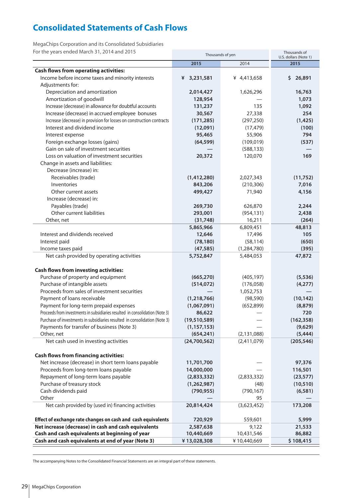### **Consolidated Statements of Cash Flows**

MegaChips Corporation and its Consolidated Subsidiaries For the years ended March 31, 2014 and 2015

| For the years ended March 31, 2014 and 2015                                  | Thousands of yen | Thousands of<br>U.S. dollars (Note 1) |            |
|------------------------------------------------------------------------------|------------------|---------------------------------------|------------|
|                                                                              | 2015             | 2014                                  | 2015       |
| <b>Cash flows from operating activities:</b>                                 |                  |                                       |            |
| Income before income taxes and minority interests                            | 3,231,581<br>¥   | ¥ 4,413,658                           | \$26,891   |
| Adjustments for:                                                             |                  |                                       |            |
| Depreciation and amortization                                                | 2,014,427        | 1,626,296                             | 16,763     |
| Amortization of goodwill                                                     | 128,954          |                                       | 1,073      |
| Increase (decrease) in allowance for doubtful accounts                       | 131,237          | 135                                   | 1,092      |
| Increase (decrease) in accrued employee bonuses                              | 30,567           | 27,338                                | 254        |
| Increase (decrease) in provision for losses on construction contracts        | (171, 285)       | (297, 250)                            | (1, 425)   |
| Interest and dividend income                                                 | (12,091)         | (17, 479)                             | (100)      |
| Interest expense                                                             | 95,465           | 55,906                                | 794        |
| Foreign exchange losses (gains)                                              | (64, 599)        | (109, 019)                            | (537)      |
| Gain on sale of investment securities                                        |                  | (588, 133)                            |            |
| Loss on valuation of investment securities                                   | 20,372           | 120,070                               | 169        |
| Change in assets and liabilities:                                            |                  |                                       |            |
| Decrease (increase) in:                                                      |                  |                                       |            |
| Receivables (trade)                                                          | (1,412,280)      | 2,027,343                             | (11, 752)  |
| Inventories                                                                  | 843,206          | (210, 306)                            | 7,016      |
| Other current assets                                                         | 499,427          | 71,940                                | 4,156      |
| Increase (decrease) in:                                                      |                  |                                       |            |
| Payables (trade)                                                             | 269,730          | 626,870                               | 2,244      |
| Other current liabilities                                                    | 293,001          | (954, 131)                            | 2,438      |
| Other, net                                                                   | (31, 748)        | 16,211                                | (264)      |
|                                                                              | 5,865,966        | 6,809,451                             | 48,813     |
| Interest and dividends received                                              | 12,646           | 17,496                                | 105        |
| Interest paid                                                                | (78, 180)        | (58, 114)                             | (650)      |
| Income taxes paid                                                            | (47, 585)        | (1, 284, 780)                         | (395)      |
| Net cash provided by operating activities                                    | 5,752,847        | 5,484,053                             | 47,872     |
| <b>Cash flows from investing activities:</b>                                 |                  |                                       |            |
| Purchase of property and equipment                                           | (665, 270)       | (405, 197)                            | (5, 536)   |
| Purchase of intangible assets                                                | (514, 072)       | (176,058)                             | (4,277)    |
| Proceeds from sales of investment securities                                 |                  | 1,052,753                             |            |
| Payment of loans receivable                                                  | (1,218,766)      | (98, 590)                             | (10, 142)  |
| Payment for long-term prepaid expenses                                       | (1,067,091)      | (652, 899)                            | (8, 879)   |
| Proceeds from investments in subsidiaries resulted in consolidation (Note 3) | 86,622           |                                       | 720        |
| Purchase of investments in subsidiaries resulted in consolidation (Note 3)   | (19,510,589)     |                                       | (162, 358) |
| Payments for transfer of business (Note 3)                                   | (1, 157, 153)    |                                       | (9,629)    |
| Other, net                                                                   | (654, 241)       | (2, 131, 088)                         | (5, 444)   |
| Net cash used in investing activities                                        | (24,700,562)     | (2,411,079)                           | (205, 546) |
| <b>Cash flows from financing activities:</b>                                 |                  |                                       |            |
| Net increase (decrease) in short term loans payable                          | 11,701,700       |                                       | 97,376     |
| Proceeds from long-term loans payable                                        | 14,000,000       |                                       | 116,501    |
| Repayment of long-term loans payable                                         | (2,833,332)      | (2,833,332)                           | (23, 577)  |
| Purchase of treasury stock                                                   | (1,262,987)      | (48)                                  | (10, 510)  |
| Cash dividends paid                                                          | (790, 955)       | (790, 167)                            | (6, 581)   |
| Other                                                                        |                  | 95                                    |            |
| Net cash provided by (used in) financing activities                          | 20,814,424       | (3,623,452)                           | 173,208    |
| Effect of exchange rate changes on cash and cash equivalents                 | 720,929          | 559,601                               | 5,999      |
| Net increase (decrease) in cash and cash equivalents                         | 2,587,638        | 9,122                                 | 21,533     |
| Cash and cash equivalents at beginning of year                               | 10,440,669       | 10,431,546                            | 86,882     |
| Cash and cash equivalents at end of year (Note 3)                            | ¥13,028,308      | ¥10,440,669                           | \$108,415  |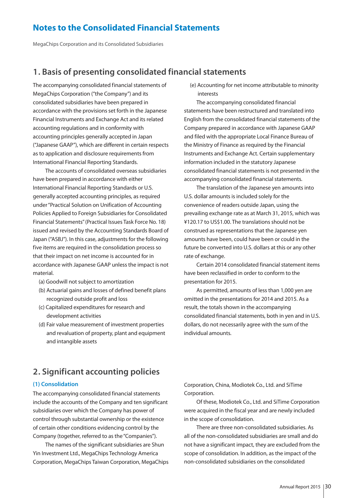MegaChips Corporation and its Consolidated Subsidiaries

### **1. Basis of presenting consolidated financial statements**

The accompanying consolidated financial statements of MegaChips Corporation ("the Company") and its consolidated subsidiaries have been prepared in accordance with the provisions set forth in the Japanese Financial Instruments and Exchange Act and its related accounting regulations and in conformity with accounting principles generally accepted in Japan ("Japanese GAAP"), which are different in certain respects as to application and disclosure requirements from International Financial Reporting Standards.

The accounts of consolidated overseas subsidiaries have been prepared in accordance with either International Financial Reporting Standards or U.S. generally accepted accounting principles, as required under "Practical Solution on Unification of Accounting Policies Applied to Foreign Subsidiaries for Consolidated Financial Statements" (Practical Issues Task Force No. 18) issued and revised by the Accounting Standards Board of Japan ("ASBJ"). In this case, adjustments for the following five items are required in the consolidation process so that their impact on net income is accounted for in accordance with Japanese GAAP unless the impact is not material.

- (a) Goodwill not subject to amortization
- (b) Actuarial gains and losses of defined benefit plans recognized outside profit and loss
- (c) Capitalized expenditures for research and development activities
- (d) Fair value measurement of investment properties and revaluation of property, plant and equipment and intangible assets

(e) Accounting for net income attributable to minority interests

The accompanying consolidated financial statements have been restructured and translated into English from the consolidated financial statements of the Company prepared in accordance with Japanese GAAP and filed with the appropriate Local Finance Bureau of the Ministry of Finance as required by the Financial Instruments and Exchange Act. Certain supplementary information included in the statutory Japanese consolidated financial statements is not presented in the accompanying consolidated financial statements.

The translation of the Japanese yen amounts into U.S. dollar amounts is included solely for the convenience of readers outside Japan, using the prevailing exchange rate as at March 31, 2015, which was ¥120.17 to US\$1.00. The translations should not be construed as representations that the Japanese yen amounts have been, could have been or could in the future be converted into U.S. dollars at this or any other rate of exchange.

Certain 2014 consolidated financial statement items have been reclassified in order to conform to the presentation for 2015.

As permitted, amounts of less than 1,000 yen are omitted in the presentations for 2014 and 2015. As a result, the totals shown in the accompanying consolidated financial statements, both in yen and in U.S. dollars, do not necessarily agree with the sum of the individual amounts.

### **2. Significant accounting policies**

### **(1) Consolidation**

The accompanying consolidated financial statements include the accounts of the Company and ten significant subsidiaries over which the Company has power of control through substantial ownership or the existence of certain other conditions evidencing control by the Company (together, referred to as the "Companies").

The names of the significant subsidiaries are Shun Yin Investment Ltd., MegaChips Technology America Corporation, MegaChips Taiwan Corporation, MegaChips Corporation, China, Modiotek Co., Ltd. and SiTime Corporation.

Of these, Modiotek Co., Ltd. and SiTime Corporation were acquired in the fiscal year and are newly included in the scope of consolidation.

There are three non-consolidated subsidiaries. As all of the non-consolidated subsidiaries are small and do not have a significant impact, they are excluded from the scope of consolidation. In addition, as the impact of the non-consolidated subsidiaries on the consolidated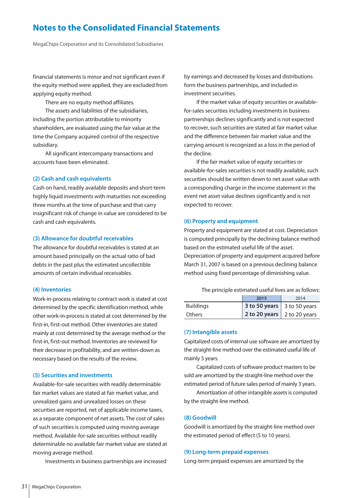MegaChips Corporation and its Consolidated Subsidiaries

financial statements is minor and not significant even if the equity method were applied, they are excluded from applying equity method.

There are no equity method affiliates.

The assets and liabilities of the subsidiaries, including the portion attributable to minority shareholders, are evaluated using the fair value at the time the Company acquired control of the respective subsidiary.

All significant intercompany transactions and accounts have been eliminated.

#### **(2) Cash and cash equivalents**

Cash on hand, readily available deposits and short-term highly liquid investments with maturities not exceeding three months at the time of purchase and that carry insignificant risk of change in value are considered to be cash and cash equivalents.

### **(3) Allowance for doubtful receivables**

The allowance for doubtful receivables is stated at an amount based principally on the actual ratio of bad debts in the past plus the estimated uncollectible amounts of certain individual receivables.

#### **(4) Inventories**

Work-in-process relating to contract work is stated at cost determined by the specific identification method, while other work-in-process is stated at cost determined by the first-in, first-out method. Other inventories are stated mainly at cost determined by the average method or the first-in, first-out method. Inventories are reviewed for their decrease in profitability, and are written-down as necessary based on the results of the review.

### **(5) Securities and investments**

Available-for-sale securities with readily determinable fair market values are stated at fair market value, and unrealized gains and unrealized losses on these securities are reported, net of applicable income taxes, as a separate component of net assets. The cost of sales of such securities is computed using moving average method. Available-for-sale securities without readily determinable no available fair market value are stated at moving average method.

Investments in business partnerships are increased

by earnings and decreased by losses and distributions form the business partnerships, and included in investment securities.

If the market value of equity securities or availablefor-sales securities including investments in business partnerships declines significantly and is not expected to recover, such securities are stated at fair market value and the difference between fair market value and the carrying amount is recognized as a loss in the period of the decline.

If the fair market value of equity securities or available-for-sales securities is not readily available, such securities should be written down to net asset value with a corresponding charge in the income statement in the event net asset value declines significantly and is not expected to recover.

### **(6) Property and equipment**

Property and equipment are stated at cost. Depreciation is computed principally by the declining balance method based on the estimated useful life of the asset. Depreciation of property and equipment acquired before March 31, 2007 is based on a previous declining balance method using fixed percentage of diminishing value.

The principle estimated useful lives are as follows:

|                  | 2015                                | 2014 |
|------------------|-------------------------------------|------|
| <b>Buildings</b> | 3 to 50 years $\vert$ 3 to 50 years |      |
| Others           | 2 to 20 years   2 to 20 years       |      |

#### **(7) Intangible assets**

Capitalized costs of internal use software are amortized by the straight-line method over the estimated useful life of mainly 5 years.

Capitalized costs of software product masters to be sold are amortized by the straight-line method over the estimated period of future sales period of mainly 3 years.

Amortization of other intangible assets is computed by the straight-line method.

#### **(8) Goodwill**

Goodwill is amortized by the straight-line method over the estimated period of effect (5 to 10 years).

#### **(9) Long-term prepaid expenses**

Long-term prepaid expenses are amortized by the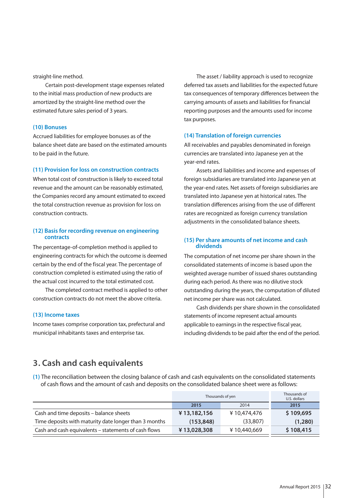straight-line method.

Certain post-development stage expenses related to the initial mass production of new products are amortized by the straight-line method over the estimated future sales period of 3 years.

### **(10) Bonuses**

Accrued liabilities for employee bonuses as of the balance sheet date are based on the estimated amounts to be paid in the future.

#### **(11) Provision for loss on construction contracts**

When total cost of construction is likely to exceed total revenue and the amount can be reasonably estimated, the Companies record any amount estimated to exceed the total construction revenue as provision for loss on construction contracts.

#### **(12) Basis for recording revenue on engineering contracts**

The percentage-of-completion method is applied to engineering contracts for which the outcome is deemed certain by the end of the fiscal year. The percentage of construction completed is estimated using the ratio of the actual cost incurred to the total estimated cost.

The completed contract method is applied to other construction contracts do not meet the above criteria.

#### **(13) Income taxes**

Income taxes comprise corporation tax, prefectural and municipal inhabitants taxes and enterprise tax.

The asset / liability approach is used to recognize deferred tax assets and liabilities for the expected future tax consequences of temporary differences between the carrying amounts of assets and liabilities for financial reporting purposes and the amounts used for income tax purposes.

#### **(14) Translation of foreign currencies**

All receivables and payables denominated in foreign currencies are translated into Japanese yen at the year-end rates.

Assets and liabilities and income and expenses of foreign subsidiaries are translated into Japanese yen at the year-end rates. Net assets of foreign subsidiaries are translated into Japanese yen at historical rates. The translation differences arising from the use of different rates are recognized as foreign currency translation adjustments in the consolidated balance sheets.

#### **(15) Per share amounts of net income and cash dividends**

The computation of net income per share shown in the consolidated statements of income is based upon the weighted average number of issued shares outstanding during each period. As there was no dilutive stock outstanding during the years, the computation of diluted net income per share was not calculated.

Cash dividends per share shown in the consolidated statements of income represent actual amounts applicable to earnings in the respective fiscal year, including dividends to be paid after the end of the period.

### **3. Cash and cash equivalents**

**(1)** The reconciliation between the closing balance of cash and cash equivalents on the consolidated statements of cash flows and the amount of cash and deposits on the consolidated balance sheet were as follows:

|                                                       | Thousands of yen | Thousands of<br>U.S. dollars |           |
|-------------------------------------------------------|------------------|------------------------------|-----------|
|                                                       | 2015             | 2014                         | 2015      |
| Cash and time deposits – balance sheets               | ¥13,182,156      | ¥10,474,476                  | \$109,695 |
| Time deposits with maturity date longer than 3 months | (153, 848)       | (33,807)                     | (1,280)   |
| Cash and cash equivalents - statements of cash flows  | ¥13,028,308      | ¥10,440,669                  | \$108,415 |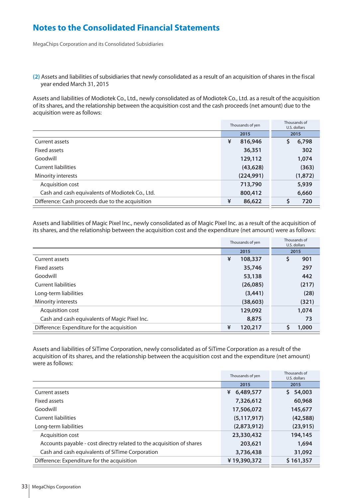MegaChips Corporation and its Consolidated Subsidiaries

**(2)** Assets and liabilities of subsidiaries that newly consolidated as a result of an acquisition of shares in the fiscal year ended March 31, 2015

Assets and liabilities of Modiotek Co., Ltd., newly consolidated as of Modiotek Co., Ltd. as a result of the acquisition of its shares, and the relationship between the acquisition cost and the cash proceeds (net amount) due to the acquisition were as follows:

|                                                  | Thousands of yen |            |    | Thousands of<br>U.S. dollars |
|--------------------------------------------------|------------------|------------|----|------------------------------|
|                                                  |                  | 2015       |    | 2015                         |
| Current assets                                   | ¥                | 816,946    | Ş  | 6,798                        |
| Fixed assets                                     |                  | 36,351     |    | 302                          |
| Goodwill                                         |                  | 129,112    |    | 1,074                        |
| <b>Current liabilities</b>                       |                  | (43, 628)  |    | (363)                        |
| Minority interests                               |                  | (224, 991) |    | (1,872)                      |
| Acquisition cost                                 |                  | 713,790    |    | 5,939                        |
| Cash and cash equivalents of Modiotek Co., Ltd.  |                  | 800,412    |    | 6,660                        |
| Difference: Cash proceeds due to the acquisition | ¥                | 86,622     | \$ | 720                          |

Assets and liabilities of Magic Pixel Inc., newly consolidated as of Magic Pixel Inc. as a result of the acquisition of its shares, and the relationship between the acquisition cost and the expenditure (net amount) were as follows:

|                                               |   | Thousands of yen | Thousands of<br>U.S. dollars |
|-----------------------------------------------|---|------------------|------------------------------|
|                                               |   | 2015             | 2015                         |
| Current assets                                | ¥ | 108,337          | \$<br>901                    |
| Fixed assets                                  |   | 35,746           | 297                          |
| Goodwill                                      |   | 53,138           | 442                          |
| <b>Current liabilities</b>                    |   | (26,085)         | (217)                        |
| Long-term liabilities                         |   | (3, 441)         | (28)                         |
| Minority interests                            |   | (38, 603)        | (321)                        |
| Acquisition cost                              |   | 129,092          | 1,074                        |
| Cash and cash equivalents of Magic Pixel Inc. |   | 8,875            | 73                           |
| Difference: Expenditure for the acquisition   | ¥ | 120,217          | \$<br>1,000                  |

Assets and liabilities of SiTime Corporation, newly consolidated as of SiTime Corporation as a result of the acquisition of its shares, and the relationship between the acquisition cost and the expenditure (net amount) were as follows:

|                                                                       | Thousands of yen | Thousands of<br>U.S. dollars |
|-----------------------------------------------------------------------|------------------|------------------------------|
|                                                                       | 2015             | 2015                         |
| Current assets                                                        | 6,489,577<br>¥   | 54,003<br>Š.                 |
| Fixed assets                                                          | 7,326,612        | 60,968                       |
| Goodwill                                                              | 17,506,072       | 145,677                      |
| <b>Current liabilities</b>                                            | (5, 117, 917)    | (42, 588)                    |
| Long-term liabilities                                                 | (2,873,912)      | (23, 915)                    |
| Acquisition cost                                                      | 23,330,432       | 194,145                      |
| Accounts payable - cost directry related to the acquisition of shares | 203,621          | 1,694                        |
| Cash and cash equivalents of SiTime Corporation                       | 3,736,438        | 31,092                       |
| Difference: Expenditure for the acquisition                           | ¥19,390,372      | \$161,357                    |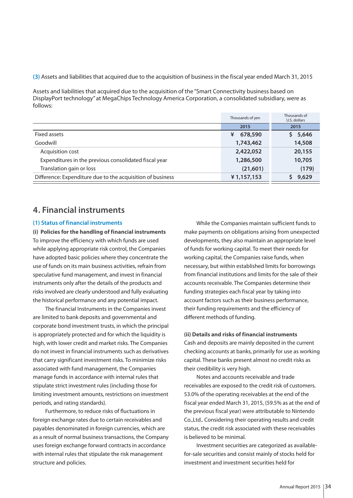**(3)** Assets and liabilities that acquired due to the acquisition of business in the fiscal year ended March 31, 2015

Assets and liabilities that acquired due to the acquisition of the "Smart Connectivity business based on DisplayPort technology" at MegaChips Technology America Corporation, a consolidated subsidiary, were as follows:

|                                                            | Thousands of yen | Thousands of<br>U.S. dollars |
|------------------------------------------------------------|------------------|------------------------------|
|                                                            | 2015             | 2015                         |
| Fixed assets                                               | 678,590<br>¥     | 5,646                        |
| Goodwill                                                   | 1,743,462        | 14,508                       |
| Acquisition cost                                           | 2,422,052        | 20,155                       |
| Expenditures in the previous consolidated fiscal year      | 1,286,500        | 10,705                       |
| Translation gain or loss                                   | (21,601)         | (179)                        |
| Difference: Expenditure due to the acquisition of business | ¥1,157,153       | 9,629                        |

### **4. Financial instruments**

#### **(1) Status of financial instruments**

**(i) Policies for the handling of financial instruments** To improve the efficiency with which funds are used while applying appropriate risk control, the Companies have adopted basic policies where they concentrate the use of funds on its main business activities, refrain from speculative fund management, and invest in financial instruments only after the details of the products and risks involved are clearly understood and fully evaluating the historical performance and any potential impact.

The financial Instruments in the Companies invest are limited to bank deposits and governmental and corporate bond investment trusts, in which the principal is appropriately protected and for which the liquidity is high, with lower credit and market risks. The Companies do not invest in financial instruments such as derivatives that carry significant investment risks. To minimize risks associated with fund management, the Companies manage funds in accordance with internal rules that stipulate strict investment rules (including those for limiting investment amounts, restrictions on investment periods, and rating standards).

Furthermore, to reduce risks of fluctuations in foreign exchange rates due to certain receivables and payables denominated in foreign currencies, which are as a result of normal business transactions, the Company uses foreign exchange forward contracts in accordance with internal rules that stipulate the risk management structure and policies.

While the Companies maintain sufficient funds to make payments on obligations arising from unexpected developments, they also maintain an appropriate level of funds for working capital. To meet their needs for working capital, the Companies raise funds, when necessary, but within established limits for borrowings from financial institutions and limits for the sale of their accounts receivable. The Companies determine their funding strategies each fiscal year by taking into account factors such as their business performance, their funding requirements and the efficiency of different methods of funding.

#### **(ii) Details and risks of financial instruments**

Cash and deposits are mainly deposited in the current checking accounts at banks, primarily for use as working capital. These banks present almost no credit risks as their credibility is very high.

Notes and accounts receivable and trade receivables are exposed to the credit risk of customers. 53.0% of the operating receivables at the end of the fiscal year ended March 31, 2015, (59.5% as at the end of the previous fiscal year) were attributable to Nintendo Co.,Ltd.. Considering their operating results and credit status, the credit risk associated with these receivables is believed to be minimal.

Investment securities are categorized as availablefor-sale securities and consist mainly of stocks held for investment and investment securities held for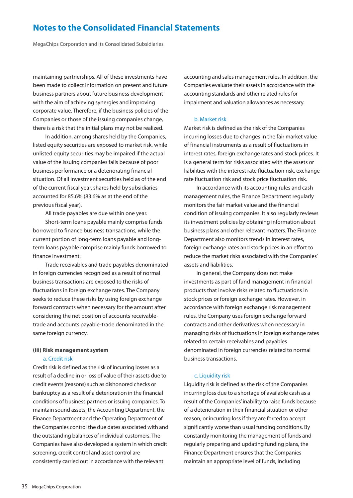MegaChips Corporation and its Consolidated Subsidiaries

maintaining partnerships. All of these investments have been made to collect information on present and future business partners about future business development with the aim of achieving synergies and improving corporate value. Therefore, if the business policies of the Companies or those of the issuing companies change, there is a risk that the initial plans may not be realized.

In addition, among shares held by the Companies, listed equity securities are exposed to market risk, while unlisted equity securities may be impaired if the actual value of the issuing companies falls because of poor business performance or a deteriorating financial situation. Of all investment securities held as of the end of the current fiscal year, shares held by subsidiaries accounted for 85.6% (83.6% as at the end of the previous fiscal year).

All trade payables are due within one year.

Short-term loans payable mainly comprise funds borrowed to finance business transactions, while the current portion of long-term loans payable and longterm loans payable comprise mainly funds borrowed to finance investment.

Trade receivables and trade payables denominated in foreign currencies recognized as a result of normal business transactions are exposed to the risks of fluctuations in foreign exchange rates. The Company seeks to reduce these risks by using foreign exchange forward contracts when necessary for the amount after considering the net position of accounts receivabletrade and accounts payable-trade denominated in the same foreign currency.

#### **(iii) Risk management system**

### a. Credit risk

Credit risk is defined as the risk of incurring losses as a result of a decline in or loss of value of their assets due to credit events (reasons) such as dishonored checks or bankruptcy as a result of a deterioration in the financial conditions of business partners or issuing companies. To maintain sound assets, the Accounting Department, the Finance Department and the Operating Department of the Companies control the due dates associated with and the outstanding balances of individual customers. The Companies have also developed a system in which credit screening, credit control and asset control are consistently carried out in accordance with the relevant

accounting and sales management rules. In addition, the Companies evaluate their assets in accordance with the accounting standards and other related rules for impairment and valuation allowances as necessary.

#### b. Market risk

Market risk is defined as the risk of the Companies incurring losses due to changes in the fair market value of financial instruments as a result of fluctuations in interest rates, foreign exchange rates and stock prices. It is a general term for risks associated with the assets or liabilities with the interest rate fluctuation risk, exchange rate fluctuation risk and stock price fluctuation risk.

In accordance with its accounting rules and cash management rules, the Finance Department regularly monitors the fair market value and the financial condition of issuing companies. It also regularly reviews its investment policies by obtaining information about business plans and other relevant matters. The Finance Department also monitors trends in interest rates, foreign exchange rates and stock prices in an effort to reduce the market risks associated with the Companies' assets and liabilities.

In general, the Company does not make investments as part of fund management in financial products that involve risks related to fluctuations in stock prices or foreign exchange rates. However, in accordance with foreign exchange risk management rules, the Company uses foreign exchange forward contracts and other derivatives when necessary in managing risks of fluctuations in foreign exchange rates related to certain receivables and payables denominated in foreign currencies related to normal business transactions.

#### c. Liquidity risk

Liquidity risk is defined as the risk of the Companies incurring loss due to a shortage of available cash as a result of the Companies' inability to raise funds because of a deterioration in their financial situation or other reason, or incurring loss if they are forced to accept significantly worse than usual funding conditions. By constantly monitoring the management of funds and regularly preparing and updating funding plans, the Finance Department ensures that the Companies maintain an appropriate level of funds, including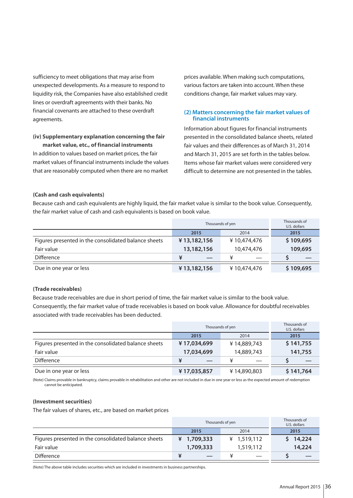sufficiency to meet obligations that may arise from unexpected developments. As a measure to respond to liquidity risk, the Companies have also established credit lines or overdraft agreements with their banks. No financial covenants are attached to these overdraft agreements.

### **(iv) Supplementary explanation concerning the fair**

**market value, etc., of financial instruments** In addition to values based on market prices, the fair market values of financial instruments include the values that are reasonably computed when there are no market

prices available. When making such computations, various factors are taken into account. When these conditions change, fair market values may vary.

### **(2) Matters concerning the fair market values of financial instruments**

Information about figures for financial instruments presented in the consolidated balance sheets, related fair values and their differences as of March 31, 2014 and March 31, 2015 are set forth in the tables below. Items whose fair market values were considered very difficult to determine are not presented in the tables.

### **(Cash and cash equivalents)**

Because cash and cash equivalents are highly liquid, the fair market value is similar to the book value. Consequently, the fair market value of cash and cash equivalents is based on book value.

|                                                      | Thousands of yen | Thousands of<br>U.S. dollars |           |
|------------------------------------------------------|------------------|------------------------------|-----------|
|                                                      | 2015             | 2014                         | 2015      |
| Figures presented in the consolidated balance sheets | ¥13,182,156      | ¥10,474,476                  | \$109,695 |
| Fair value                                           | 13,182,156       | 10,474,476                   | 109,695   |
| <b>Difference</b>                                    | ¥                | ¥                            |           |
| Due in one year or less                              | ¥13,182,156      | ¥10,474,476                  | \$109,695 |

#### **(Trade receivables)**

Because trade receivables are due in short period of time, the fair market value is similar to the book value. Consequently, the fair market value of trade receivables is based on book value. Allowance for doubtful receivables associated with trade receivables has been deducted.

|                                                      | Thousands of yen | Thousands of<br>U.S. dollars |           |
|------------------------------------------------------|------------------|------------------------------|-----------|
|                                                      | 2015             | 2014                         | 2015      |
| Figures presented in the consolidated balance sheets | ¥17,034,699      | ¥14,889,743                  | \$141,755 |
| Fair value                                           | 17,034,699       | 14,889,743                   | 141,755   |
| <b>Difference</b>                                    | ¥                |                              |           |
| Due in one year or less                              | ¥17,035,857      | ¥14,890,803                  | \$141,764 |

(Note) Claims provable in bankruptcy, claims provable in rehabilitation and other are not included in due in one year or less as the expected amount of redemption cannot be anticipated.

#### **(Investment securities)**

The fair values of shares, etc., are based on market prices

|                                                      | Thousands of yen | Thousands of<br>U.S. dollars |          |
|------------------------------------------------------|------------------|------------------------------|----------|
|                                                      | 2015             | 2014                         | 2015     |
| Figures presented in the consolidated balance sheets | ¥ 1,709,333      | ¥ 1,519,112                  | \$14,224 |
| Fair value                                           | 1,709,333        | 1,519,112                    | 14,224   |
| <b>Difference</b>                                    |                  |                              |          |

(Note) The above table includes securities which are included in investments in business partnerships.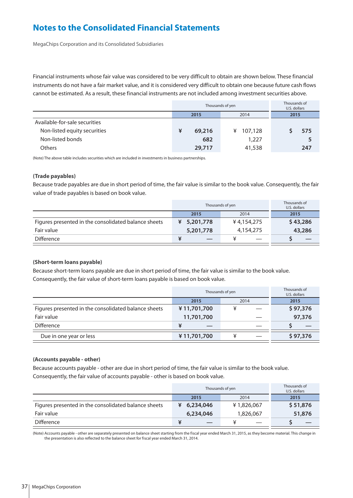MegaChips Corporation and its Consolidated Subsidiaries

Financial instruments whose fair value was considered to be very difficult to obtain are shown below. These financial instruments do not have a fair market value, and it is considered very difficult to obtain one because future cash flows cannot be estimated. As a result, these financial instruments are not included among investment securities above.

|                               | Thousands of yen |        |           | Thousands of<br>U.S. dollars |     |
|-------------------------------|------------------|--------|-----------|------------------------------|-----|
|                               | 2015             |        | 2014      | 2015                         |     |
| Available-for-sale securities |                  |        |           |                              |     |
| Non-listed equity securities  | ¥                | 69,216 | ¥ 107.128 |                              | 575 |
| Non-listed bonds              |                  | 682    | 1,227     |                              |     |
| Others                        |                  | 29,717 | 41,538    |                              | 247 |

(Note) The above table includes securities which are included in investments in business partnerships.

### **(Trade payables)**

Because trade payables are due in short period of time, the fair value is similar to the book value. Consequently, the fair value of trade payables is based on book value.

|                                                      | Thousands of yen | Thousands of<br>U.S. dollars |          |
|------------------------------------------------------|------------------|------------------------------|----------|
|                                                      | 2015             | 2014                         | 2015     |
| Figures presented in the consolidated balance sheets | ¥ 5,201,778      | ¥4,154,275                   | \$43,286 |
| Fair value                                           | 5,201,778        | 4,154,275                    | 43,286   |
| Difference                                           | ¥                |                              |          |

#### **(Short-term loans payable)**

Because short-term loans payable are due in short period of time, the fair value is similar to the book value. Consequently, the fair value of short-term loans payable is based on book value.

|                                                      | Thousands of yen | Thousands of<br>U.S. dollars |          |
|------------------------------------------------------|------------------|------------------------------|----------|
|                                                      | 2015             | 2014                         | 2015     |
| Figures presented in the consolidated balance sheets | ¥11,701,700      | ¥                            | \$97,376 |
| Fair value                                           | 11,701,700       |                              | 97,376   |
| Difference                                           | ¥                |                              |          |
| Due in one year or less                              | ¥11,701,700      |                              | \$97,376 |

#### **(Accounts payable - other)**

Because accounts payable - other are due in short period of time, the fair value is similar to the book value. Consequently, the fair value of accounts payable - other is based on book value.

|                                                      | Thousands of yen | Thousands of<br>U.S. dollars |          |
|------------------------------------------------------|------------------|------------------------------|----------|
|                                                      | 2015             | 2014                         | 2015     |
| Figures presented in the consolidated balance sheets | 6,234,046        | ¥1,826,067                   | \$51,876 |
| Fair value                                           | 6,234,046        | 1,826,067                    | 51,876   |
| <b>Difference</b>                                    |                  |                              |          |

(Note) Accounts payable - other are separately presented on balance sheet starting from the fiscal year ended March 31, 2015, as they become material. This change in the presentation is also reflected to the balance sheet for fiscal year ended March 31, 2014.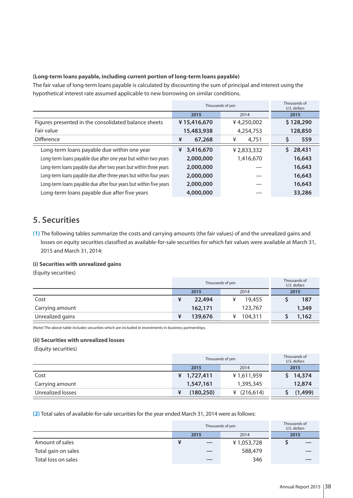### **(Long-term loans payable, including current portion of long-term loans payable)**

The fair value of long-term loans payable is calculated by discounting the sum of principal and interest using the hypothetical interest rate assumed applicable to new borrowing on similar conditions.

|                                                                     | Thousands of yen | Thousands of<br>U.S. dollars |              |
|---------------------------------------------------------------------|------------------|------------------------------|--------------|
|                                                                     | 2015             | 2014                         | 2015         |
| Figures presented in the consolidated balance sheets                | ¥15,416,670      | ¥4,250,002                   | \$128,290    |
| Fair value                                                          | 15,483,938       | 4,254,753                    | 128,850      |
| <b>Difference</b>                                                   | ¥<br>67,268      | ¥<br>4,751                   | \$<br>559    |
| Long-term loans payable due within one year                         | ¥<br>3,416,670   | ¥ 2,833,332                  | Ś.<br>28,431 |
| Long-term loans payable due after one year but within two years     | 2,000,000        | 1,416,670                    | 16,643       |
| Long-term loans payable due after two years but within three years  | 2,000,000        |                              | 16,643       |
| Long-term loans payable due after three years but within four years | 2,000,000        |                              | 16,643       |
| Long-term loans payable due after four years but within five years  | 2,000,000        |                              | 16,643       |
| Long-term loans payable due after five years                        | 4,000,000        |                              | 33,286       |

### **5. Securities**

**(1)** The following tables summarize the costs and carrying amounts (the fair values) of and the unrealized gains and losses on equity securities classified as available-for-sale securities for which fair values were available at March 31, 2015 and March 31, 2014:

### **(i) Securities with unrealized gains**

(Equity securities)

|                  | Thousands of yen |         |      |         | Thousands of<br>U.S. dollars |       |
|------------------|------------------|---------|------|---------|------------------------------|-------|
|                  | 2015             |         | 2014 |         | 2015                         |       |
| Cost             |                  | 22,494  |      | 19,455  |                              | 187   |
| Carrying amount  |                  | 162,171 |      | 123,767 |                              | 1,349 |
| Unrealized gains |                  | 139,676 |      | 104,311 |                              | 1,162 |

(Note) The above table includes securities which are included in investments in business partnerships.

### **(ii) Securities with unrealized losses**

(Equity securities)

|                   | Thousands of yen | Thousands of<br>U.S. dollars |         |
|-------------------|------------------|------------------------------|---------|
|                   | 2015             | 2014                         | 2015    |
| Cost              | 41,727,411       | ¥1,611,959                   | 14,374  |
| Carrying amount   | 1,547,161        | 1,395,345                    | 12,874  |
| Unrealized losses | (180, 250)       | ¥ (216,614)                  | (1,499) |

### **(2)** Total sales of available-for-sale securities for the year ended March 31, 2014 were as follows:

|                     |      | Thousands of yen | Thousands of<br>U.S. dollars |      |  |
|---------------------|------|------------------|------------------------------|------|--|
|                     | 2015 |                  | 2014                         | 2015 |  |
| Amount of sales     |      |                  | ¥1,053,728                   |      |  |
| Total gain on sales |      |                  | 588,479                      |      |  |
| Total loss on sales |      |                  | 346                          |      |  |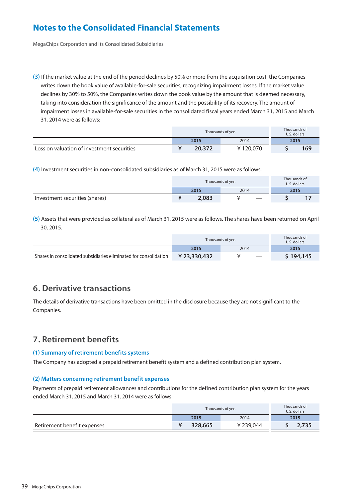MegaChips Corporation and its Consolidated Subsidiaries

**(3)** If the market value at the end of the period declines by 50% or more from the acquisition cost, the Companies writes down the book value of available-for-sale securities, recognizing impairment losses. If the market value declines by 30% to 50%, the Companies writes down the book value by the amount that is deemed necessary, taking into consideration the significance of the amount and the possibility of its recovery. The amount of impairment losses in available-for-sale securities in the consolidated fiscal years ended March 31, 2015 and March 31, 2014 were as follows:

|                                            | Thousands of ven | Thousands of<br>U.S. dollars |      |
|--------------------------------------------|------------------|------------------------------|------|
|                                            | 2015             | 2014                         | 2015 |
| Loss on valuation of investment securities | 20,372           | ¥120,070                     | 169  |

**(4)** Investment securities in non-consolidated subsidiaries as of March 31, 2015 were as follows:

|                                | Thousands of yen |       |      |                          | Thousands of<br>U.S. dollars |  |  |
|--------------------------------|------------------|-------|------|--------------------------|------------------------------|--|--|
|                                | 2015             |       | 2014 |                          | 2015                         |  |  |
| Investment securities (shares) |                  | 2,083 |      | $\overline{\phantom{m}}$ |                              |  |  |

**(5)** Assets that were provided as collateral as of March 31, 2015 were as follows. The shares have been returned on April 30, 2015.

|                                                                  | Thousands of yen | Thousands of<br>U.S. dollars |           |
|------------------------------------------------------------------|------------------|------------------------------|-----------|
|                                                                  | 2015             | 2014                         | 2015      |
| Shares in consolidated subsidiaries eliminated for consolidation | ¥ 23,330,432     |                              | \$194,145 |

### **6. Derivative transactions**

The details of derivative transactions have been omitted in the disclosure because they are not significant to the Companies.

### **7. Retirement benefits**

### **(1) Summary of retirement benefits systems**

The Company has adopted a prepaid retirement benefit system and a defined contribution plan system.

### **(2) Matters concerning retirement benefit expenses**

Payments of prepaid retirement allowances and contributions for the defined contribution plan system for the years ended March 31, 2015 and March 31, 2014 were as follows:

|                             |              | Thousands of yen | Thousands of<br>U.S. dollars |  |       |
|-----------------------------|--------------|------------------|------------------------------|--|-------|
|                             | 2015<br>2014 |                  | 2015                         |  |       |
| Retirement benefit expenses |              | 328,665          | ¥239,044                     |  | 2,735 |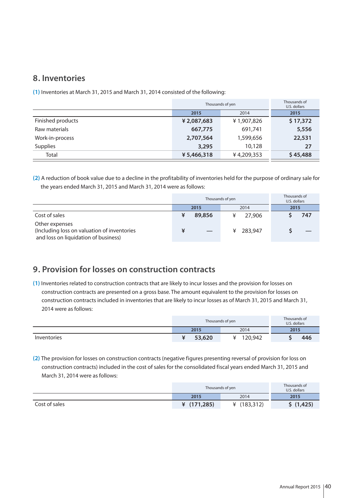### **8. Inventories**

**(1)** Inventories at March 31, 2015 and March 31, 2014 consisted of the following:

|                   | Thousands of yen | Thousands of<br>U.S. dollars |          |
|-------------------|------------------|------------------------------|----------|
|                   | 2015             | 2014                         | 2015     |
| Finished products | ¥ 2,087,683      | ¥1,907,826                   | \$17,372 |
| Raw materials     | 667,775          | 691.741                      | 5,556    |
| Work-in-process   | 2,707,564        | 1,599,656                    | 22,531   |
| <b>Supplies</b>   | 3,295            | 10,128                       | 27       |
| Total             | ¥5,466,318       | ¥4,209,353                   | \$45,488 |

**(2)** A reduction of book value due to a decline in the profitability of inventories held for the purpose of ordinary sale for the years ended March 31, 2015 and March 31, 2014 were as follows:

|                                                                                      | Thousands of yen | Thousands of<br>U.S. dollars |      |     |
|--------------------------------------------------------------------------------------|------------------|------------------------------|------|-----|
|                                                                                      | 2015             | 2014                         | 2015 |     |
| Cost of sales                                                                        | 89,856           | 27.906                       |      | 747 |
| Other expenses                                                                       |                  |                              |      |     |
| (Including loss on valuation of inventories)<br>and loss on liquidation of business) |                  | ¥ 283,947                    |      |     |

### **9. Provision for losses on construction contracts**

**(1)** Inventories related to construction contracts that are likely to incur losses and the provision for losses on construction contracts are presented on a gross base. The amount equivalent to the provision for losses on construction contracts included in inventories that are likely to incur losses as of March 31, 2015 and March 31, 2014 were as follows:

|             | Thousands of yen | Thousands of<br>U.S. dollars |      |
|-------------|------------------|------------------------------|------|
|             | 2015             | 2014                         | 2015 |
| Inventories | 53,620           | 120,942                      | 446  |

**(2)** The provision for losses on construction contracts (negative figures presenting reversal of provision for loss on construction contracts) included in the cost of sales for the consolidated fiscal years ended March 31, 2015 and March 31, 2014 were as follows:

|               | Thousands of yen | Thousands of<br>U.S. dollars |           |
|---------------|------------------|------------------------------|-----------|
|               | 2015             | 2014                         | 2015      |
| Cost of sales | ¥ $(171, 285)$   | (183.312)                    | \$(1,425) |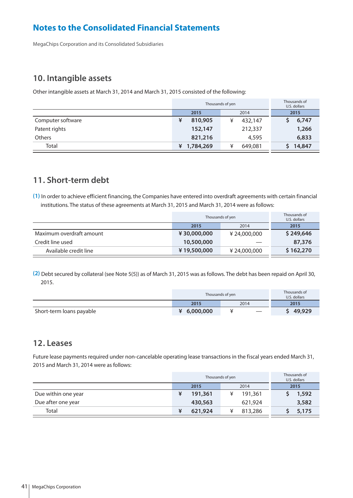MegaChips Corporation and its Consolidated Subsidiaries

### **10. Intangible assets**

Other intangible assets at March 31, 2014 and March 31, 2015 consisted of the following:

|                   | Thousands of yen | Thousands of<br>U.S. dollars |        |
|-------------------|------------------|------------------------------|--------|
|                   | 2015             | 2015                         |        |
| Computer software | 810,905<br>¥     | 432,147                      | 6,747  |
| Patent rights     | 152,147          | 212,337                      | 1,266  |
| Others            | 821,216          | 4,595                        | 6,833  |
| Total             | ¥ 1,784,269      | 649,081                      | 14,847 |

### **11. Short-term debt**

**(1)** In order to achieve efficient financing, the Companies have entered into overdraft agreements with certain financial institutions. The status of these agreements at March 31, 2015 and March 31, 2014 were as follows:

|                          | Thousands of yen | Thousands of<br>U.S. dollars |           |
|--------------------------|------------------|------------------------------|-----------|
|                          | 2015             | 2014                         | 2015      |
| Maximum overdraft amount | ¥30,000,000      | ¥ 24,000,000                 | \$249,646 |
| Credit line used         | 10,500,000       |                              | 87,376    |
| Available credit line    | ¥19,500,000      | ¥ 24,000,000                 | \$162,270 |
|                          |                  |                              |           |

**(2)** Debt secured by collateral (see Note 5(5)) as of March 31, 2015 was as follows. The debt has been repaid on April 30, 2015.

|                          | Thousands of yen | Thousands of<br>U.S. dollars |        |
|--------------------------|------------------|------------------------------|--------|
|                          | 2015             | 2014                         | 2015   |
| Short-term loans payable | 6,000,000        |                              | 49,929 |

### **12. Leases**

Future lease payments required under non-cancelable operating lease transactions in the fiscal years ended March 31, 2015 and March 31, 2014 were as follows:

|                     | Thousands of yen |         |  |         | Thousands of<br>U.S. dollars |
|---------------------|------------------|---------|--|---------|------------------------------|
|                     |                  | 2015    |  | 2014    | 2015                         |
| Due within one year |                  | 191,361 |  | 191,361 | 1,592                        |
| Due after one year  |                  | 430,563 |  | 621,924 | 3,582                        |
| Total               |                  | 621,924 |  | 813,286 | 5,175                        |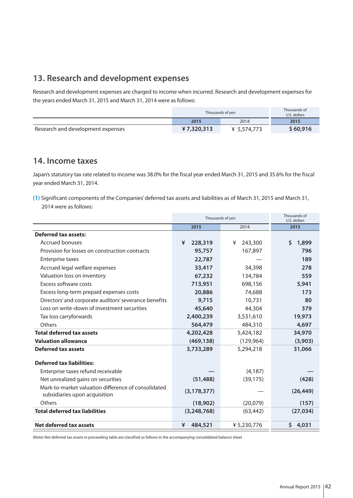### **13. Research and development expenses**

Research and development expenses are charged to income when incurred. Research and development expenses for the years ended March 31, 2015 and March 31, 2014 were as follows:

|                                   | Thousands of ven | Thousands of<br>U.S. dollars |          |
|-----------------------------------|------------------|------------------------------|----------|
|                                   | 2015             | 2014                         | 2015     |
| Research and development expenses | ¥7,320,313       | ¥ 5,574,773                  | \$60,916 |

### **14. Income taxes**

Japan's statutory tax rate related to income was 38.0% for the fiscal year ended March 31, 2015 and 35.6% for the fiscal year ended March 31, 2014.

**(1)** Significant components of the Companies' deferred tax assets and liabilities as of March 31, 2015 and March 31, 2014 were as follows:

|                                                                                      | Thousands of yen | Thousands of<br>U.S. dollars |             |
|--------------------------------------------------------------------------------------|------------------|------------------------------|-------------|
|                                                                                      | 2015             | 2014                         | 2015        |
| <b>Deferred tax assets:</b>                                                          |                  |                              |             |
| <b>Accrued bonuses</b>                                                               | 228,319<br>¥     | 243,300<br>¥                 | 1,899<br>Ś. |
| Provision for losses on construction contracts                                       | 95,757           | 167,897                      | 796         |
| Enterprise taxes                                                                     | 22,787           |                              | 189         |
| Accrued legal welfare expenses                                                       | 33,417           | 34,398                       | 278         |
| Valuation loss on inventory                                                          | 67,232           | 134,784                      | 559         |
| Excess software costs                                                                | 713,951          | 698,156                      | 5,941       |
| Excess long-term prepaid expenses costs                                              | 20,886           | 74,688                       | 173         |
| Directors' and corporate auditors' severance benefits                                | 9,715            | 10,731                       | 80          |
| Loss on write-down of investment securities                                          | 45,640           | 44,304                       | 379         |
| Tax loss carryforwards                                                               | 2,400,239        | 3,531,610                    | 19,973      |
| Others                                                                               | 564,479          | 484,310                      | 4,697       |
| <b>Total deferred tax assets</b>                                                     | 4,202,428        | 5,424,182                    | 34,970      |
| <b>Valuation allowance</b>                                                           | (469, 138)       | (129, 964)                   | (3,903)     |
| <b>Deferred tax assets</b>                                                           | 3,733,289        | 5,294,218                    | 31,066      |
| <b>Deferred tax liabilities:</b>                                                     |                  |                              |             |
| Enterprise taxes refund receivable                                                   |                  | (4.187)                      |             |
| Net unrealized gains on securities                                                   | (51, 488)        | (39, 175)                    | (428)       |
| Mark-to-market valuation difference of consolidated<br>subsidiaries upon acquisition | (3, 178, 377)    |                              | (26, 449)   |
| Others                                                                               | (18,902)         | (20,079)                     | (157)       |
| <b>Total deferred tax liabilities</b>                                                | (3,248,768)      | (63, 442)                    | (27, 034)   |
| Net deferred tax assets                                                              | 484,521<br>¥     | ¥5,230,776                   | \$4,031     |

(Note) Net deferred tax assets in proceeding table are classified as follows in the accompanying consolidated balance sheet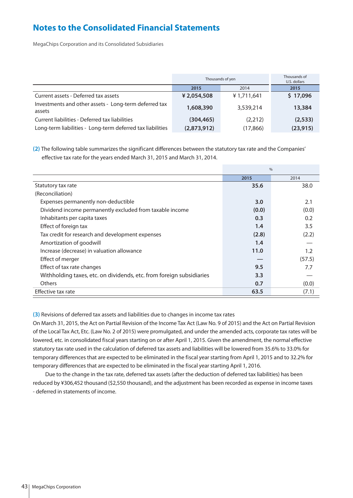MegaChips Corporation and its Consolidated Subsidiaries

|                                                                 | Thousands of yen | Thousands of<br>U.S. dollars |           |
|-----------------------------------------------------------------|------------------|------------------------------|-----------|
|                                                                 | 2015             | 2014                         | 2015      |
| Current assets - Deferred tax assets                            | ¥2,054,508       | ¥ 1,711,641                  | \$17,096  |
| Investments and other assets - Long-term deferred tax<br>assets | 1,608,390        | 3,539,214                    | 13,384    |
| Current liabilities - Deferred tax liabilities                  | (304, 465)       | (2,212)                      | (2,533)   |
| Long-term liabilities - Long-term deferred tax liabilities      | (2,873,912)      | (17, 866)                    | (23, 915) |

(2) The following table summarizes the significant differences between the statutory tax rate and the Companies' effective tax rate for the years ended March 31, 2015 and March 31, 2014.

|                                                                      | $\%$  |        |
|----------------------------------------------------------------------|-------|--------|
|                                                                      | 2015  | 2014   |
| Statutory tax rate                                                   | 35.6  | 38.0   |
| (Reconciliation)                                                     |       |        |
| Expenses permanently non-deductible                                  | 3.0   | 2.1    |
| Dividend income permanently excluded from taxable income             | (0.0) | (0.0)  |
| Inhabitants per capita taxes                                         | 0.3   | 0.2    |
| Effect of foreign tax                                                | 1.4   | 3.5    |
| Tax credit for research and development expenses                     | (2.8) | (2.2)  |
| Amortization of goodwill                                             | 1.4   |        |
| Increase (decrease) in valuation allowance                           | 11.0  | 1.2    |
| Effect of merger                                                     |       | (57.5) |
| Effect of tax rate changes                                           | 9.5   | 7.7    |
| Withholding taxes, etc. on dividends, etc. from foreign subsidiaries | 3.3   |        |
| <b>Others</b>                                                        | 0.7   | (0.0)  |
| Effective tax rate                                                   | 63.5  | (7.1)  |

**(3)** Revisions of deferred tax assets and liabilities due to changes in income tax rates

On March 31, 2015, the Act on Partial Revision of the Income Tax Act (Law No. 9 of 2015) and the Act on Partial Revision of the Local Tax Act, Etc. (Law No. 2 of 2015) were promulgated, and under the amended acts, corporate tax rates will be lowered, etc. in consolidated fiscal years starting on or after April 1, 2015. Given the amendment, the normal effective statutory tax rate used in the calculation of deferred tax assets and liabilities will be lowered from 35.6% to 33.0% for temporary differences that are expected to be eliminated in the fiscal year starting from April 1, 2015 and to 32.2% for temporary differences that are expected to be eliminated in the fiscal year starting April 1, 2016.

Due to the change in the tax rate, deferred tax assets (after the deduction of deferred tax liabilities) has been reduced by ¥306,452 thousand (\$2,550 thousand), and the adjustment has been recorded as expense in income taxes - deferred in statements of income.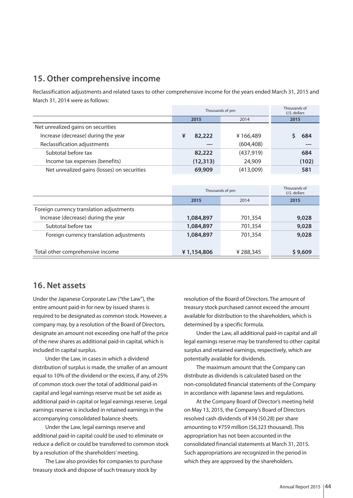### **15. Other comprehensive income**

Reclassification adjustments and related taxes to other comprehensive income for the years ended March 31, 2015 and March 31, 2014 were as follows:

|                                             | Thousands of yen |           |                  | Thousands of<br>U.S. dollars |
|---------------------------------------------|------------------|-----------|------------------|------------------------------|
|                                             | 2015             |           | 2014             | 2015                         |
| Net unrealized gains on securities          |                  |           |                  |                              |
| Increase (decrease) during the year         | ¥                | 82,222    | ¥166,489         | Ś<br>684                     |
| Reclassification adjustments                |                  |           | (604, 408)       |                              |
| Subtotal before tax                         |                  | 82,222    | (437, 919)       | 684                          |
| Income tax expenses (benefits)              |                  | (12, 313) | 24,909           | (102)                        |
| Net unrealized gains (losses) on securities |                  | 69,909    | (413,009)        | 581                          |
|                                             |                  |           |                  |                              |
|                                             |                  |           | Thousands of yen | Thousands of<br>U.S. dollars |
|                                             |                  | 2015      | 2014             | 2015                         |
| Foreign currency translation adjustments    |                  |           |                  |                              |
| Increase (decrease) during the year         |                  | 1,084,897 | 701,354          | 9,028                        |
| Subtotal before tax                         |                  | 1,084,897 | 701.354          | 9,028                        |

| Foreign currency translation adjustments | 1,084,897   | 701.354   | 9,028   |
|------------------------------------------|-------------|-----------|---------|
|                                          |             |           |         |
| Total other comprehensive income         | ¥ 1,154,806 | ¥ 288,345 | \$9,609 |

### **16. Net assets**

Under the Japanese Corporate Law ("the Law"), the entire amount paid-in for new by issued shares is required to be designated as common stock. However, a company may, by a resolution of the Board of Directors, designate an amount not exceeding one half of the price of the new shares as additional paid-in capital, which is included in capital surplus.

Under the Law, in cases in which a dividend distribution of surplus is made, the smaller of an amount equal to 10% of the dividend or the excess, if any, of 25% of common stock over the total of additional paid-in capital and legal earnings reserve must be set aside as additional paid-in capital or legal earnings reserve. Legal earnings reserve is included in retained earnings in the accompanying consolidated balance sheets.

Under the Law, legal earnings reserve and additional paid-in capital could be used to eliminate or reduce a deficit or could be transferred to common stock by a resolution of the shareholders' meeting.

The Law also provides for companies to purchase treasury stock and dispose of such treasury stock by

resolution of the Board of Directors. The amount of treasury stock purchased cannot exceed the amount available for distribution to the shareholders, which is determined by a specific formula.

Under the Law, all additional paid-in capital and all legal earnings reserve may be transferred to other capital surplus and retained earnings, respectively, which are potentially available for dividends.

The maximum amount that the Company can distribute as dividends is calculated based on the non-consolidated financial statements of the Company in accordance with Japanese laws and regulations.

At the Company Board of Director's meeting held on May 13, 2015, the Company's Board of Directors resolved cash dividends of ¥34 (\$0.28) per share amounting to ¥759 million (\$6,323 thousand). This appropriation has not been accounted in the consolidated financial statements at March 31, 2015. Such appropriations are recognized in the period in which they are approved by the shareholders.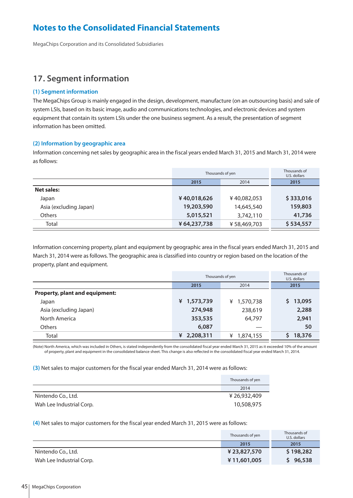MegaChips Corporation and its Consolidated Subsidiaries

### **17. Segment information**

### **(1) Segment information**

The MegaChips Group is mainly engaged in the design, development, manufacture (on an outsourcing basis) and sale of system LSIs, based on its basic image, audio and communications technologies, and electronic devices and system equipment that contain its system LSIs under the one business segment. As a result, the presentation of segment information has been omitted.

### **(2) Information by geographic area**

Information concerning net sales by geographic area in the fiscal years ended March 31, 2015 and March 31, 2014 were as follows:

|                        | Thousands of yen |             | Thousands of<br>U.S. dollars |
|------------------------|------------------|-------------|------------------------------|
|                        | 2015             | 2014        | 2015                         |
| Net sales:             |                  |             |                              |
| Japan                  | ¥40,018,626      | ¥40,082,053 | \$333,016                    |
| Asia (excluding Japan) | 19,203,590       | 14,645,540  | 159,803                      |
| Others                 | 5,015,521        | 3,742,110   | 41,736                       |
| Total                  | ¥64,237,738      | ¥58,469,703 | \$534,557                    |

Information concerning property, plant and equipment by geographic area in the fiscal years ended March 31, 2015 and March 31, 2014 were as follows. The geographic area is classified into country or region based on the location of the property, plant and equipment.

|                                       | Thousands of yen |                | Thousands of<br>U.S. dollars |
|---------------------------------------|------------------|----------------|------------------------------|
|                                       | 2015             | 2014           | 2015                         |
| <b>Property, plant and equipment:</b> |                  |                |                              |
| Japan                                 | ¥ 1,573,739      | ¥ 1,570,738    | 13,095<br>S.                 |
| Asia (excluding Japan)                | 274,948          | 238,619        | 2,288                        |
| North America                         | 353,535          | 64,797         | 2,941                        |
| Others                                | 6,087            |                | 50                           |
| Total                                 | 2,208,311<br>¥   | 1,874,155<br>¥ | 18,376<br>S.                 |

(Note) North America, which was included in Others, is stated independently from the consolidated fiscal year ended March 31, 2015 as it exceeded 10% of the amount of property, plant and equipment in the consolidated balance sheet. This change is also reflected in the consolidated fiscal year ended March 31, 2014.

#### **(3)** Net sales to major customers for the fiscal year ended March 31, 2014 were as follows:

|                          | Thousands of yen |
|--------------------------|------------------|
|                          | 2014             |
| Nintendo Co., Ltd.       | ¥ 26,932,409     |
| Wah Lee Industrial Corp. | 10,508,975       |

**(4)** Net sales to major customers for the fiscal year ended March 31, 2015 were as follows:

|                          | Thousands of yen | Thousands of<br>U.S. dollars |
|--------------------------|------------------|------------------------------|
|                          | 2015             | 2015                         |
| Nintendo Co., Ltd.       | ¥23,827,570      | \$198,282                    |
| Wah Lee Industrial Corp. | ¥11,601,005      | 96,538                       |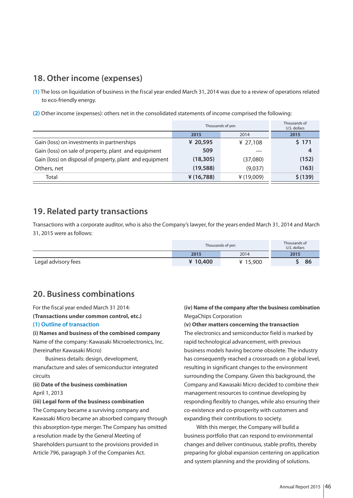### **18. Other income (expenses)**

- **(1)** The loss on liquidation of business in the fiscal year ended March 31, 2014 was due to a review of operations related to eco-friendly energy.
- **(2)** Other income (expenses): others net in the consolidated statements of income comprised the following:

|                                                          | Thousands of yen |            | Thousands of<br>U.S. dollars |
|----------------------------------------------------------|------------------|------------|------------------------------|
|                                                          | 2015             | 2014       | 2015                         |
| Gain (loss) on investments in partnerships               | ¥ 20,595         | ¥ 27,108   | \$171                        |
| Gain (loss) on sale of property, plant and equipment     | 509              |            | 4                            |
| Gain (loss) on disposal of property, plant and equipment | (18, 305)        | (37,080)   | (152)                        |
| Others, net                                              | (19, 588)        | (9,037)    | (163)                        |
| Total                                                    | ¥ (16,788)       | ¥ (19,009) | \$(139)                      |

### **19. Related party transactions**

Transactions with a corporate auditor, who is also the Company's lawyer, for the years ended March 31, 2014 and March 31, 2015 were as follows:

|                     |          | Thousands of yen | Thousands of<br>U.S. dollars |
|---------------------|----------|------------------|------------------------------|
|                     | 2015     | 2014             | 2015                         |
| Legal advisory fees | ¥ 10,400 | ¥ 15,900         | 86                           |

### **20. Business combinations**

For the fiscal year ended March 31 2014:

**(Transactions under common control, etc.)**

### **(1) Outline of transaction**

**(i) Names and business of the combined company**

Name of the company: Kawasaki Microelectronics, Inc. (hereinafter Kawasaki Micro)

Business details: design, development, manufacture and sales of semiconductor integrated circuits

## **(ii) Date of the business combination**

April 1, 2013

### **(iii) Legal form of the business combination**

The Company became a surviving company and Kawasaki Micro became an absorbed company through this absorption-type merger. The Company has omitted a resolution made by the General Meeting of Shareholders pursuant to the provisions provided in Article 796, paragraph 3 of the Companies Act.

**(iv) Name of the company after the business combination** MegaChips Corporation

### **(v) Other matters concerning the transaction**

The electronics and semiconductor field is marked by rapid technological advancement, with previous business models having become obsolete. The industry has consequently reached a crossroads on a global level, resulting in significant changes to the environment surrounding the Company. Given this background, the Company and Kawasaki Micro decided to combine their management resources to continue developing by responding flexibly to changes, while also ensuring their co-existence and co-prosperity with customers and expanding their contributions to society.

With this merger, the Company will build a business portfolio that can respond to environmental changes and deliver continuous, stable profits, thereby preparing for global expansion centering on application and system planning and the providing of solutions.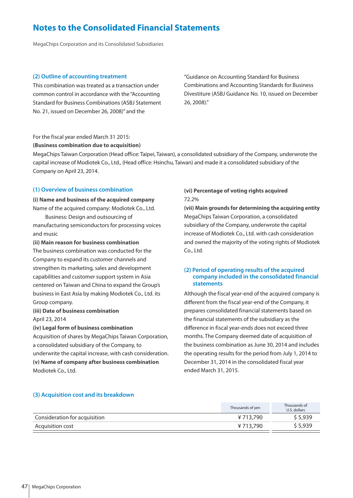MegaChips Corporation and its Consolidated Subsidiaries

#### **(2) Outline of accounting treatment**

This combination was treated as a transaction under common control in accordance with the "Accounting Standard for Business Combinations (ASBJ Statement No. 21, issued on December 26, 2008)" and the

"Guidance on Accounting Standard for Business Combinations and Accounting Standards for Business Divestiture (ASBJ Guidance No. 10, issued on December 26, 2008)."

### For the fiscal year ended March 31 2015:

**(Business combination due to acquisition)**

MegaChips Taiwan Corporation (Head office: Taipei, Taiwan), a consolidated subsidiary of the Company, underwrote the capital increase of Modiotek Co., Ltd., (Head office: Hsinchu, Taiwan) and made it a consolidated subsidiary of the Company on April 23, 2014.

#### **(1) Overview of business combination**

### **(i) Name and business of the acquired company** Name of the acquired company: Modiotek Co., Ltd.

Business: Design and outsourcing of manufacturing semiconductors for processing voices and music

#### **(ii) Main reason for business combination**

The business combination was conducted for the Company to expand its customer channels and strengthen its marketing, sales and development capabilities and customer support system in Asia centered on Taiwan and China to expand the Group's business in East Asia by making Modiotek Co., Ltd. its Group company.

### **(iii) Date of business combination** April 23, 2014

#### **(iv) Legal form of business combination**

Acquisition of shares by MegaChips Taiwan Corporation, a consolidated subsidiary of the Company, to underwrite the capital increase, with cash consideration. **(v) Name of company after business combination** Modiotek Co., Ltd.

### **(vi) Percentage of voting rights acquired** 72.2%

**(vii) Main grounds for determining the acquiring entity** MegaChips Taiwan Corporation, a consolidated subsidiary of the Company, underwrote the capital increase of Modiotek Co., Ltd. with cash consideration and owned the majority of the voting rights of Modiotek Co., Ltd.

### **(2) Period of operating results of the acquired company included in the consolidated financial statements**

Although the fiscal year-end of the acquired company is different from the fiscal year-end of the Company, it prepares consolidated financial statements based on the financial statements of the subsidiary as the difference in fiscal year-ends does not exceed three months. The Company deemed date of acquisition of the business combination as June 30, 2014 and includes the operating results for the period from July 1, 2014 to December 31, 2014 in the consolidated fiscal year ended March 31, 2015.

### **(3) Acquisition cost and its breakdown**

|                               | Thousands of yen | Thousands of<br>U.S. dollars |
|-------------------------------|------------------|------------------------------|
| Consideration for acquisition | ¥713.790         | \$5,939                      |
| Acquisition cost              | ¥713.790         | \$5,939                      |
|                               |                  |                              |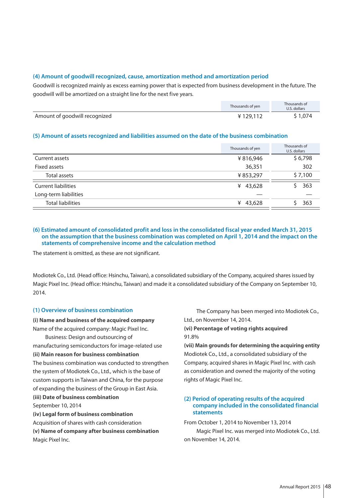### **(4) Amount of goodwill recognized, cause, amortization method and amortization period**

Goodwill is recognized mainly as excess earning power that is expected from business development in the future. The goodwill will be amortized on a straight line for the next five years.

|                               | Thousands of ven | Thousands of<br>U.S. dollars |
|-------------------------------|------------------|------------------------------|
| Amount of goodwill recognized | ¥129.112         | \$1,074                      |

### **(5) Amount of assets recognized and liabilities assumed on the date of the business combination**

|                            | Thousands of yen | Thousands of<br>U.S. dollars |
|----------------------------|------------------|------------------------------|
| Current assets             | ¥816,946         | \$6,798                      |
| Fixed assets               | 36,351           | 302                          |
| Total assets               | ¥853,297         | \$7,100                      |
| <b>Current liabilities</b> | ¥ 43,628         | 363                          |
| Long-term liabilities      |                  |                              |
| <b>Total liabilities</b>   | ¥ 43,628         | 363                          |

### **(6) Estimated amount of consolidated profit and loss in the consolidated fiscal year ended March 31, 2015 on the assumption that the business combination was completed on April 1, 2014 and the impact on the statements of comprehensive income and the calculation method**

The statement is omitted, as these are not significant.

Modiotek Co., Ltd. (Head office: Hsinchu, Taiwan), a consolidated subsidiary of the Company, acquired shares issued by Magic Pixel Inc. (Head office: Hsinchu, Taiwan) and made it a consolidated subsidiary of the Company on September 10, 2014.

#### **(1) Overview of business combination**

**(i) Name and business of the acquired company** Name of the acquired company: Magic Pixel Inc.

Business: Design and outsourcing of manufacturing semiconductors for image-related use **(ii) Main reason for business combination** The business combination was conducted to strengthen the system of Modiotek Co., Ltd., which is the base of custom supports in Taiwan and China, for the purpose of expanding the business of the Group in East Asia. **(iii) Date of business combination** September 10, 2014 **(iv) Legal form of business combination**

Acquisition of shares with cash consideration

**(v) Name of company after business combination** Magic Pixel Inc.

The Company has been merged into Modiotek Co., Ltd., on November 14, 2014.

**(vi) Percentage of voting rights acquired** 91.8%

**(vii) Main grounds for determining the acquiring entity** Modiotek Co., Ltd., a consolidated subsidiary of the Company, acquired shares in Magic Pixel Inc. with cash as consideration and owned the majority of the voting rights of Magic Pixel Inc.

### **(2) Period of operating results of the acquired company included in the consolidated financial statements**

From October 1, 2014 to November 13, 2014 Magic Pixel Inc. was merged into Modiotek Co., Ltd. on November 14, 2014.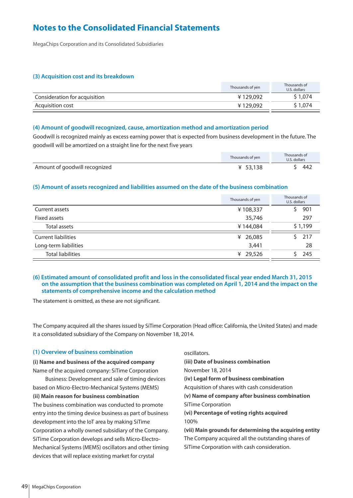MegaChips Corporation and its Consolidated Subsidiaries

### **(3) Acquisition cost and its breakdown**

|                               | Thousands of yen | Thousands of<br>U.S. dollars |
|-------------------------------|------------------|------------------------------|
| Consideration for acquisition | ¥129,092         | \$1,074                      |
| Acquisition cost              | ¥129,092         | \$1,074                      |

### **(4) Amount of goodwill recognized, cause, amortization method and amortization period**

Goodwill is recognized mainly as excess earning power that is expected from business development in the future. The goodwill will be amortized on a straight line for the next five years

|                               | Thousands of ven | Thousands of<br>U.S. dollars |
|-------------------------------|------------------|------------------------------|
| Amount of goodwill recognized | ¥ 53,138         | 442                          |

### **(5) Amount of assets recognized and liabilities assumed on the date of the business combination**

|                            | Thousands of yen | Thousands of<br>U.S. dollars |
|----------------------------|------------------|------------------------------|
| Current assets             | ¥108,337         | 901                          |
| Fixed assets               | 35,746           | 297                          |
| Total assets               | ¥144,084         | \$1,199                      |
| <b>Current liabilities</b> | ¥ 26,085         | 217                          |
| Long-term liabilities      | 3,441            | 28                           |
| <b>Total liabilities</b>   | ¥ 29,526         | 245                          |

### **(6) Estimated amount of consolidated profit and loss in the consolidated fiscal year ended March 31, 2015 on the assumption that the business combination was completed on April 1, 2014 and the impact on the statements of comprehensive income and the calculation method**

The statement is omitted, as these are not significant.

The Company acquired all the shares issued by SiTime Corporation (Head office: California, the United States) and made it a consolidated subsidiary of the Company on November 18, 2014.

### **(1) Overview of business combination**

**(i) Name and business of the acquired company** Name of the acquired company: SiTime Corporation

Business: Development and sale of timing devices based on Micro-Electro-Mechanical Systems (MEMS) **(ii) Main reason for business combination** The business combination was conducted to promote entry into the timing device business as part of business development into the IoT area by making SiTime Corporation a wholly owned subsidiary of the Company. SiTime Corporation develops and sells Micro-Electro-Mechanical Systems (MEMS) oscillators and other timing devices that will replace existing market for crystal

oscillators.

**(iii) Date of business combination** November 18, 2014 **(iv) Legal form of business combination** Acquisition of shares with cash consideration **(v) Name of company after business combination** SiTime Corporation **(vi) Percentage of voting rights acquired** 100% **(vii) Main grounds for determining the acquiring entity** The Company acquired all the outstanding shares of SiTime Corporation with cash consideration.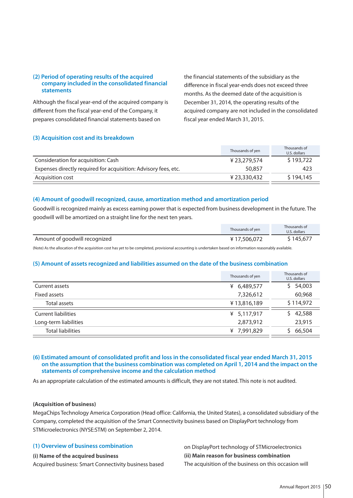#### **(2) Period of operating results of the acquired company included in the consolidated financial statements**

Although the fiscal year-end of the acquired company is different from the fiscal year-end of the Company, it prepares consolidated financial statements based on

the financial statements of the subsidiary as the difference in fiscal year-ends does not exceed three months. As the deemed date of the acquisition is December 31, 2014, the operating results of the acquired company are not included in the consolidated fiscal year ended March 31, 2015.

### **(3) Acquisition cost and its breakdown**

|                                                                 | Thousands of yen | Thousands of<br>U.S. dollars |
|-----------------------------------------------------------------|------------------|------------------------------|
| Consideration for acquisition: Cash                             | ¥ 23,279,574     | \$193,722                    |
| Expenses directly required for acquisition: Advisory fees, etc. | 50,857           | 423                          |
| Acquisition cost                                                | ¥ 23,330,432     | \$194,145                    |

### **(4) Amount of goodwill recognized, cause, amortization method and amortization period**

Goodwill is recognized mainly as excess earning power that is expected from business development in the future. The goodwill will be amortized on a straight line for the next ten years.

|                               | Thousands of ven | Thousands of<br>U.S. dollars |
|-------------------------------|------------------|------------------------------|
| Amount of goodwill recognized | ¥17,506,072      | \$ 145.677                   |
|                               |                  |                              |

(Note) As the allocation of the acquisition cost has yet to be completed, provisional accounting is undertaken based on information reasonably available.

#### **(5) Amount of assets recognized and liabilities assumed on the date of the business combination**

|                            | Thousands of yen | Thousands of<br>U.S. dollars |
|----------------------------|------------------|------------------------------|
| Current assets             | ¥ 6,489,577      | 54,003                       |
| Fixed assets               | 7,326,612        | 60,968                       |
| Total assets               | ¥13,816,189      | \$114,972                    |
| <b>Current liabilities</b> | ¥ 5,117,917      | 42,588                       |
| Long-term liabilities      | 2,873,912        | 23,915                       |
| <b>Total liabilities</b>   | ¥ 7,991,829      | 66,504                       |

#### **(6) Estimated amount of consolidated profit and loss in the consolidated fiscal year ended March 31, 2015 on the assumption that the business combination was completed on April 1, 2014 and the impact on the statements of comprehensive income and the calculation method**

As an appropriate calculation of the estimated amounts is difficult, they are not stated. This note is not audited.

#### **(Acquisition of business)**

MegaChips Technology America Corporation (Head office: California, the United States), a consolidated subsidiary of the Company, completed the acquisition of the Smart Connectivity business based on DisplayPort technology from STMicroelectronics (NYSE:STM) on September 2, 2014.

### **(1) Overview of business combination**

**(i) Name of the acquired business** Acquired business: Smart Connectivity business based on DisplayPort technology of STMicroelectronics **(ii) Main reason for business combination** The acquisition of the business on this occasion will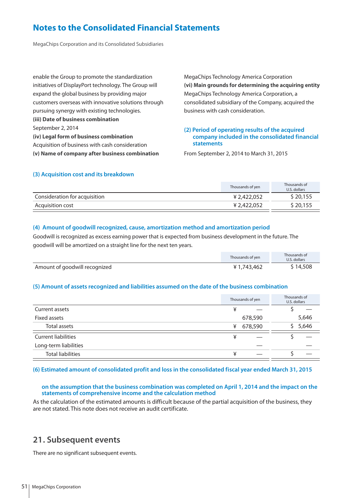MegaChips Corporation and its Consolidated Subsidiaries

enable the Group to promote the standardization initiatives of DisplayPort technology. The Group will expand the global business by providing major customers overseas with innovative solutions through pursuing synergy with existing technologies. **(iii) Date of business combination** September 2, 2014 **(iv) Legal form of business combination** Acquisition of business with cash consideration **(v) Name of company after business combination**

MegaChips Technology America Corporation **(vi) Main grounds for determining the acquiring entity** MegaChips Technology America Corporation, a consolidated subsidiary of the Company, acquired the business with cash consideration.

### **(2) Period of operating results of the acquired company included in the consolidated financial statements**

From September 2, 2014 to March 31, 2015

### **(3) Acquisition cost and its breakdown**

|                               | Thousands of yen | Thousands of<br>U.S. dollars |
|-------------------------------|------------------|------------------------------|
| Consideration for acquisition | ¥2,422,052       | \$20.155                     |
| Acquisition cost              | ¥ 2,422,052      | \$20,155                     |

### **(4) Amount of goodwill recognized, cause, amortization method and amortization period**

Goodwill is recognized as excess earning power that is expected from business development in the future. The goodwill will be amortized on a straight line for the next ten years.

|                               | Thousands of ven | Thousands of<br>U.S. dollars |
|-------------------------------|------------------|------------------------------|
| Amount of goodwill recognized | ¥1,743,462       | \$14,508                     |

### **(5) Amount of assets recognized and liabilities assumed on the date of the business combination**

|                            |   | Thousands of yen | Thousands of<br>U.S. dollars |
|----------------------------|---|------------------|------------------------------|
| Current assets             | ¥ |                  |                              |
| Fixed assets               |   | 678,590          | 5,646                        |
| <b>Total assets</b>        | ¥ | 678,590          | 5,646                        |
| <b>Current liabilities</b> | ¥ |                  |                              |
| Long-term liabilities      |   |                  |                              |
| <b>Total liabilities</b>   | ¥ |                  |                              |

### **(6) Estimated amount of consolidated profit and loss in the consolidated fiscal year ended March 31, 2015**

#### **on the assumption that the business combination was completed on April 1, 2014 and the impact on the statements of comprehensive income and the calculation method**

As the calculation of the estimated amounts is difficult because of the partial acquisition of the business, they are not stated. This note does not receive an audit certificate.

### **21. Subsequent events**

There are no significant subsequent events.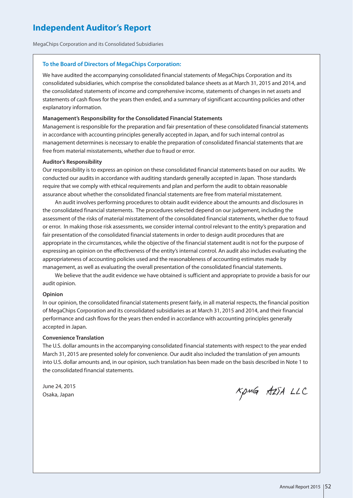### **Independent Auditor's Report**

MegaChips Corporation and its Consolidated Subsidiaries

### **To the Board of Directors of MegaChips Corporation:**

We have audited the accompanying consolidated financial statements of MegaChips Corporation and its consolidated subsidiaries, which comprise the consolidated balance sheets as at March 31, 2015 and 2014, and the consolidated statements of income and comprehensive income, statements of changes in net assets and statements of cash flows for the years then ended, and a summary of significant accounting policies and other explanatory information.

### **Management's Responsibility for the Consolidated Financial Statements**

Management is responsible for the preparation and fair presentation of these consolidated financial statements in accordance with accounting principles generally accepted in Japan, and for such internal control as management determines is necessary to enable the preparation of consolidated financial statements that are free from material misstatements, whether due to fraud or error.

#### **Auditor's Responsibility**

Our responsibility is to express an opinion on these consolidated financial statements based on our audits. We conducted our audits in accordance with auditing standards generally accepted in Japan. Those standards require that we comply with ethical requirements and plan and perform the audit to obtain reasonable assurance about whether the consolidated financial statements are free from material misstatement.

An audit involves performing procedures to obtain audit evidence about the amounts and disclosures in the consolidated financial statements. The procedures selected depend on our judgement, including the assessment of the risks of material misstatement of the consolidated financial statements, whether due to fraud or error. In making those risk assessments, we consider internal control relevant to the entity's preparation and fair presentation of the consolidated financial statements in order to design audit procedures that are appropriate in the circumstances, while the objective of the financial statement audit is not for the purpose of expressing an opinion on the effectiveness of the entity's internal control. An audit also includes evaluating the appropriateness of accounting policies used and the reasonableness of accounting estimates made by management, as well as evaluating the overall presentation of the consolidated financial statements.

We believe that the audit evidence we have obtained is sufficient and appropriate to provide a basis for our audit opinion.

#### **Opinion**

In our opinion, the consolidated financial statements present fairly, in all material respects, the financial position of MegaChips Corporation and its consolidated subsidiaries as at March 31, 2015 and 2014, and their financial performance and cash flows for the years then ended in accordance with accounting principles generally accepted in Japan.

### **Convenience Translation**

The U.S. dollar amounts in the accompanying consolidated financial statements with respect to the year ended March 31, 2015 are presented solely for convenience. Our audit also included the translation of yen amounts into U.S. dollar amounts and, in our opinion, such translation has been made on the basis described in Note 1 to the consolidated financial statements.

June 24, 2015 Osaka, Japan

KpMG AZSA LLC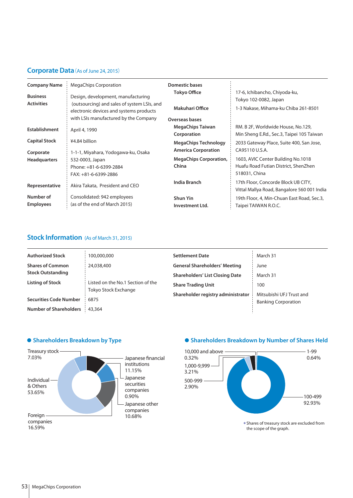### **Corporate Data**(As of June 24, 2015)

| <b>Company Name</b><br><b>Business</b> | <b>MegaChips Corporation</b><br>Design, development, manufacturing                                                              | Domestic bases<br><b>Tokyo Office</b>                     | 17-6, Ichibancho, Chiyoda-ku,<br>Tokyo 102-0082, Japan                                      |
|----------------------------------------|---------------------------------------------------------------------------------------------------------------------------------|-----------------------------------------------------------|---------------------------------------------------------------------------------------------|
| <b>Activities</b>                      | (outsourcing) and sales of system LSIs, and<br>electronic devices and systems products<br>with LSIs manufactured by the Company | Makuhari Office<br>Overseas bases                         | 1-3 Nakase, Mihama-ku Chiba 261-8501                                                        |
| <b>Establishment</b>                   | April 4, 1990                                                                                                                   | MegaChips Taiwan<br>Corporation                           | RM. B 2F, Worldwide House, No.129,<br>Min Sheng E.Rd., Sec.3, Taipei 105 Taiwan             |
| <b>Capital Stock</b><br>Corporate      | ¥4.84 billion<br>1-1-1, Miyahara, Yodogawa-ku, Osaka                                                                            | <b>MegaChips Technology</b><br><b>America Corporation</b> | 2033 Gateway Place, Suite 400, San Jose,<br>CA95110 U.S.A.                                  |
| Headquarters                           | 532-0003, Japan<br>Phone: +81-6-6399-2884<br>$FAX: +81-6-6399-2886$                                                             | <b>MegaChips Corporation,</b><br>China                    | 1603, AVIC Center Building No.1018<br>Huafu Road Futian District, ShenZhen<br>518031, China |
| Representative                         | Akira Takata, President and CEO                                                                                                 | India Branch                                              | 17th Floor, Concorde Block UB CITY,<br>Vittal Mallya Road, Bangalore 560 001 India          |
| Number of<br><b>Employees</b>          | Consolidated: 942 employees<br>(as of the end of March 2015)                                                                    | Shun Yin<br>Investment Ltd.                               | 19th Floor, 4, Min-Chuan East Road, Sec.3,<br>Taipei TAIWAN R.O.C.                          |

### **Stock Information** (As of March 31, 2015)

| <b>Authorized Stock</b>       | 100,000,000                                               | <b>Settlement Date</b>                 | March 31                   |
|-------------------------------|-----------------------------------------------------------|----------------------------------------|----------------------------|
| <b>Shares of Common</b>       | 24,038,400                                                | <b>General Shareholders' Meeting</b>   | June                       |
| <b>Stock Outstanding</b>      |                                                           | <b>Shareholders' List Closing Date</b> | March 31                   |
| <b>Listing of Stock</b>       | Listed on the No.1 Section of the<br>Tokyo Stock Exchange | <b>Share Trading Unit</b>              | 100                        |
|                               |                                                           | Shareholder registry administrator     | Mitsubishi UFJ Trust and   |
| <b>Securities Code Number</b> | 6875                                                      |                                        | <b>Banking Corporation</b> |
| <b>Number of Shareholders</b> | 43,364                                                    |                                        |                            |

### **Shareholders Breakdown by Type**



### $\bullet$  **Shareholders Breakdown by Number of Shares Held**



Shares of treasury stock are excluded from the scope of the graph.